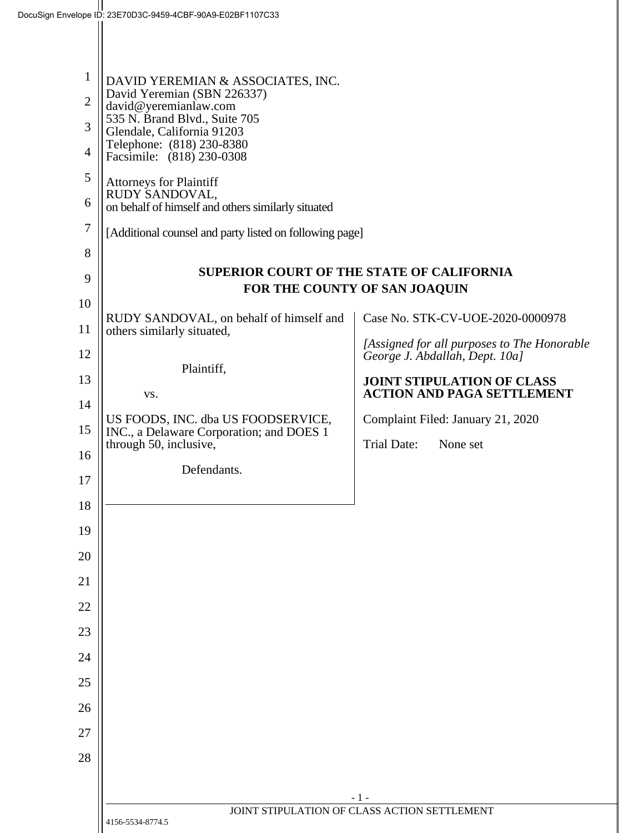| $\mathbf{1}$<br>$\overline{2}$<br>3<br>$\overline{4}$<br>5<br>6<br>7<br>8<br>9 | DAVID YEREMIAN & ASSOCIATES, INC.<br>David Yeremian (SBN 226337)<br>david@yeremianlaw.com<br>535 N. Brand Blvd., Suite 705<br>Glendale, California 91203<br>Telephone: (818) 230-8380<br>Facsimile: (818) 230-0308<br><b>Attorneys for Plaintiff</b><br>RUDY SANDOVAL,<br>on behalf of himself and others similarly situated<br>[Additional counsel and party listed on following page] | <b>SUPERIOR COURT OF THE STATE OF CALIFORNIA</b>                              |
|--------------------------------------------------------------------------------|-----------------------------------------------------------------------------------------------------------------------------------------------------------------------------------------------------------------------------------------------------------------------------------------------------------------------------------------------------------------------------------------|-------------------------------------------------------------------------------|
|                                                                                |                                                                                                                                                                                                                                                                                                                                                                                         | FOR THE COUNTY OF SAN JOAQUIN                                                 |
| 10                                                                             | RUDY SANDOVAL, on behalf of himself and                                                                                                                                                                                                                                                                                                                                                 | Case No. STK-CV-UOE-2020-0000978                                              |
| 11<br>12                                                                       | others similarly situated,                                                                                                                                                                                                                                                                                                                                                              | [Assigned for all purposes to The Honorable<br>George J. Abdallah, Dept. 10a] |
| 13                                                                             | Plaintiff,                                                                                                                                                                                                                                                                                                                                                                              | <b>JOINT STIPULATION OF CLASS</b>                                             |
| 14                                                                             | VS.                                                                                                                                                                                                                                                                                                                                                                                     | <b>ACTION AND PAGA SETTLEMENT</b>                                             |
|                                                                                | US FOODS, INC. dba US FOODSERVICE,                                                                                                                                                                                                                                                                                                                                                      | Complaint Filed: January 21, 2020                                             |
| 15                                                                             | INC., a Delaware Corporation; and DOES 1<br>through 50, inclusive,                                                                                                                                                                                                                                                                                                                      | Trial Date:<br>None set                                                       |
| 16                                                                             | Defendants.                                                                                                                                                                                                                                                                                                                                                                             |                                                                               |
| 17                                                                             |                                                                                                                                                                                                                                                                                                                                                                                         |                                                                               |
| 18                                                                             |                                                                                                                                                                                                                                                                                                                                                                                         |                                                                               |
| 19                                                                             |                                                                                                                                                                                                                                                                                                                                                                                         |                                                                               |
| 20                                                                             |                                                                                                                                                                                                                                                                                                                                                                                         |                                                                               |
| 21                                                                             |                                                                                                                                                                                                                                                                                                                                                                                         |                                                                               |
| 22                                                                             |                                                                                                                                                                                                                                                                                                                                                                                         |                                                                               |
| 23                                                                             |                                                                                                                                                                                                                                                                                                                                                                                         |                                                                               |
| 24                                                                             |                                                                                                                                                                                                                                                                                                                                                                                         |                                                                               |
| 25                                                                             |                                                                                                                                                                                                                                                                                                                                                                                         |                                                                               |
| 26                                                                             |                                                                                                                                                                                                                                                                                                                                                                                         |                                                                               |
| 27                                                                             |                                                                                                                                                                                                                                                                                                                                                                                         |                                                                               |
| 28                                                                             |                                                                                                                                                                                                                                                                                                                                                                                         |                                                                               |
|                                                                                |                                                                                                                                                                                                                                                                                                                                                                                         |                                                                               |
|                                                                                |                                                                                                                                                                                                                                                                                                                                                                                         | - 1 -                                                                         |
|                                                                                | 4156-5534-8774.5                                                                                                                                                                                                                                                                                                                                                                        | JOINT STIPULATION OF CLASS ACTION SETTLEMENT                                  |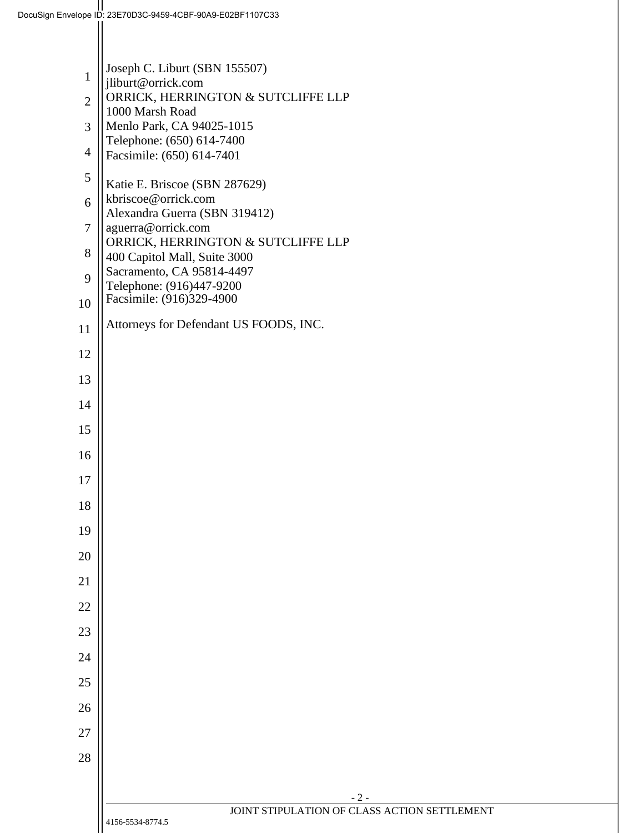|                | Joseph C. Liburt (SBN 155507)                                      |
|----------------|--------------------------------------------------------------------|
| 1              | jliburt@orrick.com                                                 |
| $\overline{2}$ | ORRICK, HERRINGTON & SUTCLIFFE LLP<br>1000 Marsh Road              |
| 3              | Menlo Park, CA 94025-1015<br>Telephone: (650) 614-7400             |
| $\overline{4}$ | Facsimile: (650) 614-7401                                          |
| 5              | Katie E. Briscoe (SBN 287629)                                      |
| 6              | kbriscoe@orrick.com<br>Alexandra Guerra (SBN 319412)               |
| $\tau$         | aguerra@orrick.com                                                 |
| 8              | ORRICK, HERRINGTON & SUTCLIFFE LLP<br>400 Capitol Mall, Suite 3000 |
| 9              | Sacramento, CA 95814-4497<br>Telephone: (916)447-9200              |
| 10             | Facsimile: (916)329-4900                                           |
| 11             | Attorneys for Defendant US FOODS, INC.                             |
| 12             |                                                                    |
| 13             |                                                                    |
| 14             |                                                                    |
| 15             |                                                                    |
| 16             |                                                                    |
| 17             |                                                                    |
| 18             |                                                                    |
| 19             |                                                                    |
| 20             |                                                                    |
| 21             |                                                                    |
| 22             |                                                                    |
| 23             |                                                                    |
| 24             |                                                                    |
| 25             |                                                                    |
| 26             |                                                                    |
| 27             |                                                                    |
| 28             |                                                                    |
|                |                                                                    |
|                | $-2-$<br>JOINT STIPULATION OF CLASS ACTION SETTLEMENT              |
|                | 4156-5534-8774.5                                                   |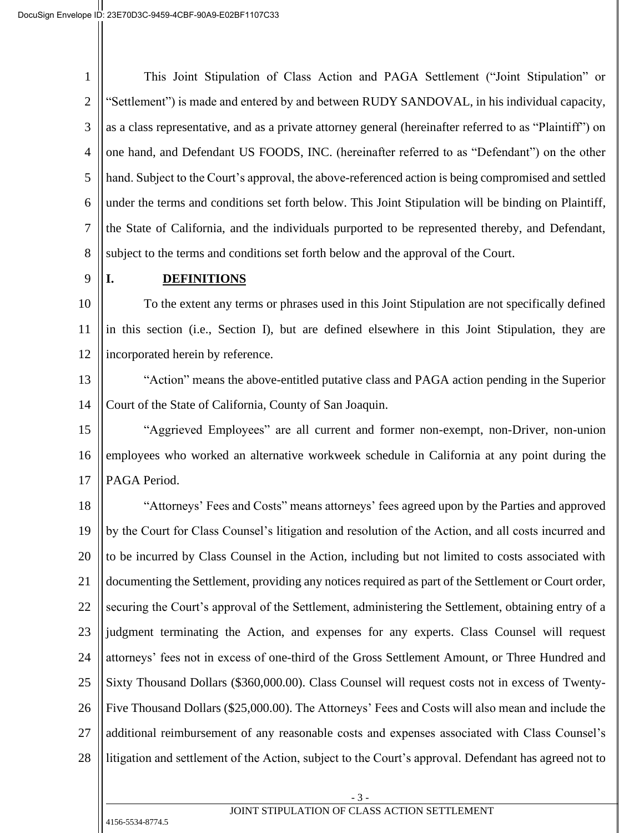1 2 3 4 5 6 7 8 This Joint Stipulation of Class Action and PAGA Settlement ("Joint Stipulation" or "Settlement") is made and entered by and between RUDY SANDOVAL, in his individual capacity, as a class representative, and as a private attorney general (hereinafter referred to as "Plaintiff") on one hand, and Defendant US FOODS, INC. (hereinafter referred to as "Defendant") on the other hand. Subject to the Court's approval, the above-referenced action is being compromised and settled under the terms and conditions set forth below. This Joint Stipulation will be binding on Plaintiff, the State of California, and the individuals purported to be represented thereby, and Defendant, subject to the terms and conditions set forth below and the approval of the Court.

9

## **I. DEFINITIONS**

10 11 12 To the extent any terms or phrases used in this Joint Stipulation are not specifically defined in this section (i.e., Section I), but are defined elsewhere in this Joint Stipulation, they are incorporated herein by reference.

13 14 "Action" means the above-entitled putative class and PAGA action pending in the Superior Court of the State of California, County of San Joaquin.

15 16 17 "Aggrieved Employees" are all current and former non-exempt, non-Driver, non-union employees who worked an alternative workweek schedule in California at any point during the PAGA Period.

18 19 20 21 22 23 24 25 26 27 28 "Attorneys' Fees and Costs" means attorneys' fees agreed upon by the Parties and approved by the Court for Class Counsel's litigation and resolution of the Action, and all costs incurred and to be incurred by Class Counsel in the Action, including but not limited to costs associated with documenting the Settlement, providing any notices required as part of the Settlement or Court order, securing the Court's approval of the Settlement, administering the Settlement, obtaining entry of a judgment terminating the Action, and expenses for any experts. Class Counsel will request attorneys' fees not in excess of one-third of the Gross Settlement Amount, or Three Hundred and Sixty Thousand Dollars (\$360,000.00). Class Counsel will request costs not in excess of Twenty-Five Thousand Dollars (\$25,000.00). The Attorneys' Fees and Costs will also mean and include the additional reimbursement of any reasonable costs and expenses associated with Class Counsel's litigation and settlement of the Action, subject to the Court's approval. Defendant has agreed not to

JOINT STIPULATION OF CLASS ACTION SETTLEMENT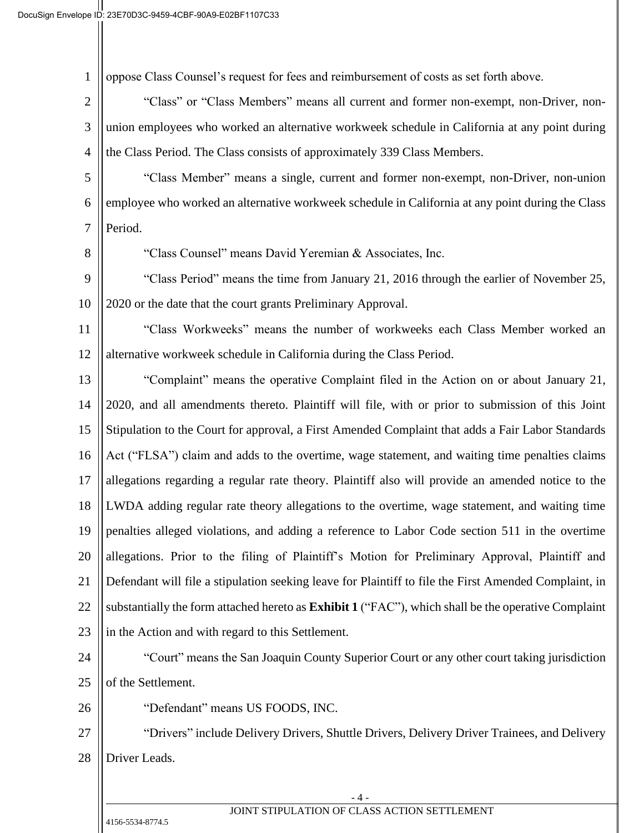| $\mathbf{1}$   | oppose Class Counsel's request for fees and reimbursement of costs as set forth above.                |  |
|----------------|-------------------------------------------------------------------------------------------------------|--|
| $\overline{c}$ | "Class" or "Class Members" means all current and former non-exempt, non-Driver, non-                  |  |
| 3              | union employees who worked an alternative workweek schedule in California at any point during         |  |
| 4              | the Class Period. The Class consists of approximately 339 Class Members.                              |  |
| 5              | "Class Member" means a single, current and former non-exempt, non-Driver, non-union                   |  |
| 6              | employee who worked an alternative workweek schedule in California at any point during the Class      |  |
| $\overline{7}$ | Period.                                                                                               |  |
| 8              | "Class Counsel" means David Yeremian & Associates, Inc.                                               |  |
| 9              | "Class Period" means the time from January 21, 2016 through the earlier of November 25,               |  |
| 10             | 2020 or the date that the court grants Preliminary Approval.                                          |  |
| 11             | "Class Workweeks" means the number of workweeks each Class Member worked an                           |  |
| 12             | alternative workweek schedule in California during the Class Period.                                  |  |
| 13             | "Complaint" means the operative Complaint filed in the Action on or about January 21,                 |  |
| 14             | 2020, and all amendments thereto. Plaintiff will file, with or prior to submission of this Joint      |  |
| 15             | Stipulation to the Court for approval, a First Amended Complaint that adds a Fair Labor Standards     |  |
| 16             | Act ("FLSA") claim and adds to the overtime, wage statement, and waiting time penalties claims        |  |
| 17             | allegations regarding a regular rate theory. Plaintiff also will provide an amended notice to the     |  |
| 18             | LWDA adding regular rate theory allegations to the overtime, wage statement, and waiting time         |  |
| 19             | penalties alleged violations, and adding a reference to Labor Code section 511 in the overtime        |  |
| 20             | allegations. Prior to the filing of Plaintiff's Motion for Preliminary Approval, Plaintiff and        |  |
| 21             | Defendant will file a stipulation seeking leave for Plaintiff to file the First Amended Complaint, in |  |
| 22             | substantially the form attached hereto as Exhibit 1 ("FAC"), which shall be the operative Complaint   |  |
| 23             | in the Action and with regard to this Settlement.                                                     |  |
| 24             | "Court" means the San Joaquin County Superior Court or any other court taking jurisdiction            |  |
| 25             | of the Settlement.                                                                                    |  |
| 26             | "Defendant" means US FOODS, INC.                                                                      |  |
| 27             | "Drivers" include Delivery Drivers, Shuttle Drivers, Delivery Driver Trainees, and Delivery           |  |
| 28             | Driver Leads.                                                                                         |  |
|                |                                                                                                       |  |
|                | - 4 -<br>JOINT STIPULATION OF CLASS ACTION SETTLEMENT                                                 |  |

 $\left| \right|$  4156-5534-8774.5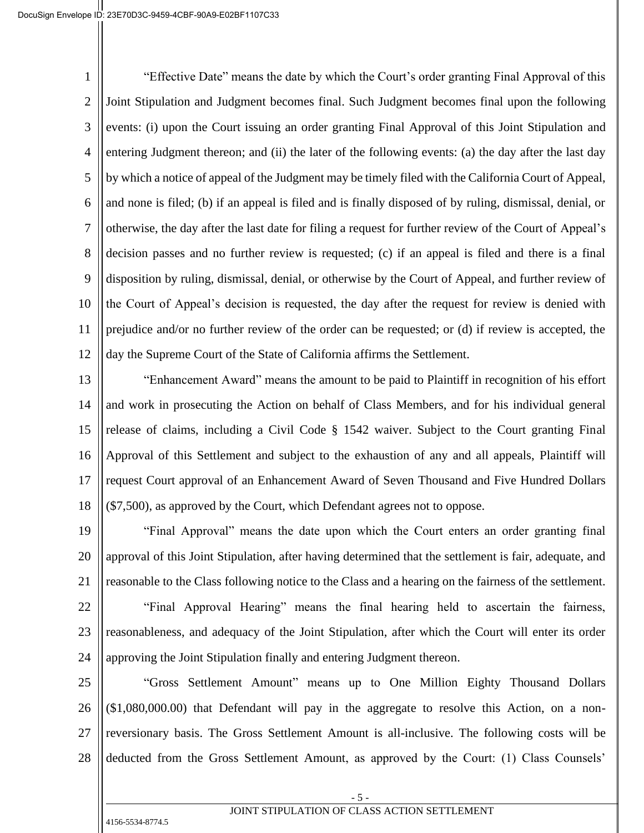1 2 3 4 5 6 7 8 9 10 11 12 "Effective Date" means the date by which the Court's order granting Final Approval of this Joint Stipulation and Judgment becomes final. Such Judgment becomes final upon the following events: (i) upon the Court issuing an order granting Final Approval of this Joint Stipulation and entering Judgment thereon; and (ii) the later of the following events: (a) the day after the last day by which a notice of appeal of the Judgment may be timely filed with the California Court of Appeal, and none is filed; (b) if an appeal is filed and is finally disposed of by ruling, dismissal, denial, or otherwise, the day after the last date for filing a request for further review of the Court of Appeal's decision passes and no further review is requested; (c) if an appeal is filed and there is a final disposition by ruling, dismissal, denial, or otherwise by the Court of Appeal, and further review of the Court of Appeal's decision is requested, the day after the request for review is denied with prejudice and/or no further review of the order can be requested; or (d) if review is accepted, the day the Supreme Court of the State of California affirms the Settlement.

13 14 15 16 17 18 "Enhancement Award" means the amount to be paid to Plaintiff in recognition of his effort and work in prosecuting the Action on behalf of Class Members, and for his individual general release of claims, including a Civil Code § 1542 waiver. Subject to the Court granting Final Approval of this Settlement and subject to the exhaustion of any and all appeals, Plaintiff will request Court approval of an Enhancement Award of Seven Thousand and Five Hundred Dollars (\$7,500), as approved by the Court, which Defendant agrees not to oppose.

19 20 21 22 23 24 "Final Approval" means the date upon which the Court enters an order granting final approval of this Joint Stipulation, after having determined that the settlement is fair, adequate, and reasonable to the Class following notice to the Class and a hearing on the fairness of the settlement. "Final Approval Hearing" means the final hearing held to ascertain the fairness, reasonableness, and adequacy of the Joint Stipulation, after which the Court will enter its order approving the Joint Stipulation finally and entering Judgment thereon.

25 26 27 28 "Gross Settlement Amount" means up to One Million Eighty Thousand Dollars (\$1,080,000.00) that Defendant will pay in the aggregate to resolve this Action, on a nonreversionary basis. The Gross Settlement Amount is all-inclusive. The following costs will be deducted from the Gross Settlement Amount, as approved by the Court: (1) Class Counsels'

- 5 -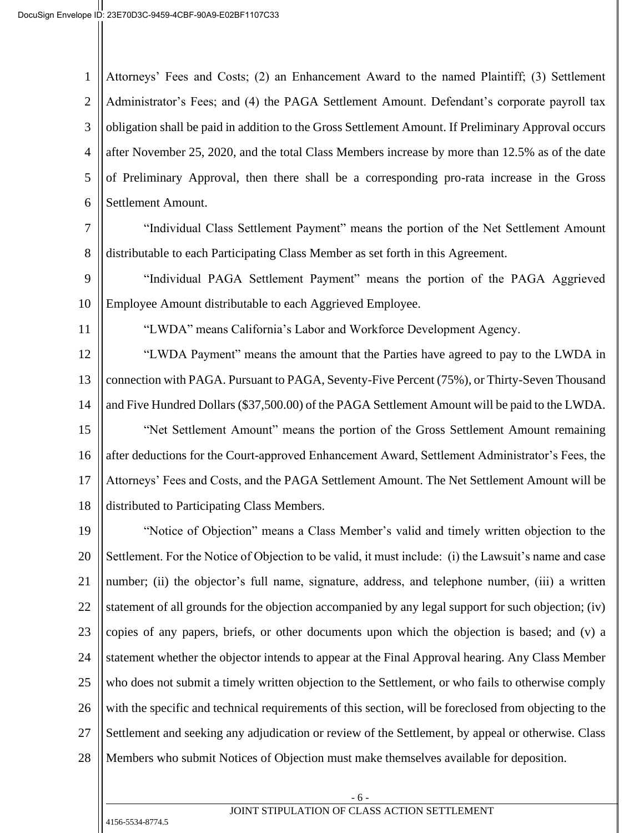1 2 3 4 5 6 Attorneys' Fees and Costs; (2) an Enhancement Award to the named Plaintiff; (3) Settlement Administrator's Fees; and (4) the PAGA Settlement Amount. Defendant's corporate payroll tax obligation shall be paid in addition to the Gross Settlement Amount. If Preliminary Approval occurs after November 25, 2020, and the total Class Members increase by more than 12.5% as of the date of Preliminary Approval, then there shall be a corresponding pro-rata increase in the Gross Settlement Amount.

7

8 "Individual Class Settlement Payment" means the portion of the Net Settlement Amount distributable to each Participating Class Member as set forth in this Agreement.

9 10 "Individual PAGA Settlement Payment" means the portion of the PAGA Aggrieved Employee Amount distributable to each Aggrieved Employee.

11

"LWDA" means California's Labor and Workforce Development Agency.

12 13 14 15 16 17 18 "LWDA Payment" means the amount that the Parties have agreed to pay to the LWDA in connection with PAGA. Pursuant to PAGA, Seventy-Five Percent (75%), or Thirty-Seven Thousand and Five Hundred Dollars (\$37,500.00) of the PAGA Settlement Amount will be paid to the LWDA. "Net Settlement Amount" means the portion of the Gross Settlement Amount remaining after deductions for the Court-approved Enhancement Award, Settlement Administrator's Fees, the Attorneys' Fees and Costs, and the PAGA Settlement Amount. The Net Settlement Amount will be distributed to Participating Class Members.

19 20 21 22 23 24 25 26 27 28 "Notice of Objection" means a Class Member's valid and timely written objection to the Settlement. For the Notice of Objection to be valid, it must include: (i) the Lawsuit's name and case number; (ii) the objector's full name, signature, address, and telephone number, (iii) a written statement of all grounds for the objection accompanied by any legal support for such objection; (iv) copies of any papers, briefs, or other documents upon which the objection is based; and (v) a statement whether the objector intends to appear at the Final Approval hearing. Any Class Member who does not submit a timely written objection to the Settlement, or who fails to otherwise comply with the specific and technical requirements of this section, will be foreclosed from objecting to the Settlement and seeking any adjudication or review of the Settlement, by appeal or otherwise. Class Members who submit Notices of Objection must make themselves available for deposition.

# JOINT STIPULATION OF CLASS ACTION SETTLEMENT

- 6 -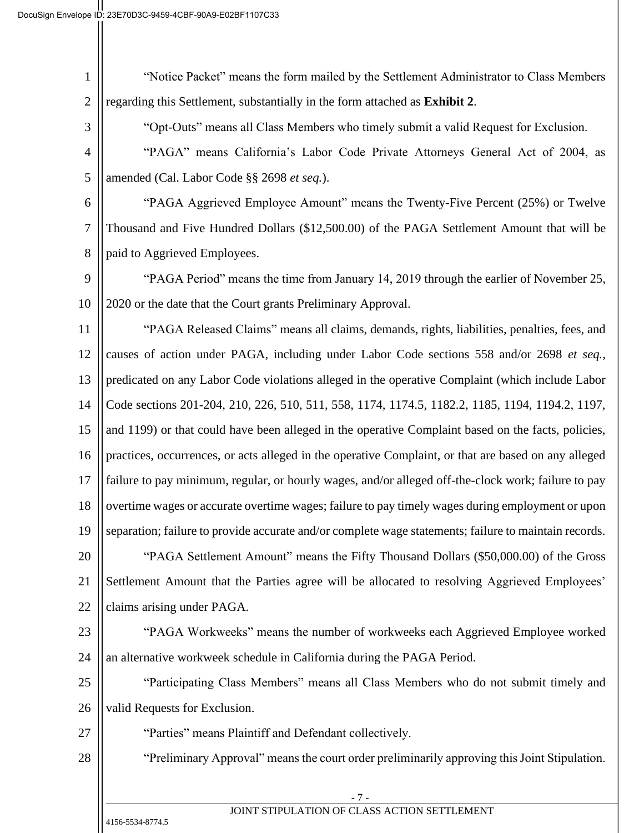| 1              | "Notice Packet" means the form mailed by the Settlement Administrator to Class Members                |
|----------------|-------------------------------------------------------------------------------------------------------|
| $\mathbf{2}$   | regarding this Settlement, substantially in the form attached as Exhibit 2.                           |
| 3              | "Opt-Outs" means all Class Members who timely submit a valid Request for Exclusion.                   |
| $\overline{4}$ | "PAGA" means California's Labor Code Private Attorneys General Act of 2004, as                        |
| 5              | amended (Cal. Labor Code §§ 2698 et seq.).                                                            |
| 6              | "PAGA Aggrieved Employee Amount" means the Twenty-Five Percent (25%) or Twelve                        |
| 7              | Thousand and Five Hundred Dollars (\$12,500.00) of the PAGA Settlement Amount that will be            |
| 8              | paid to Aggrieved Employees.                                                                          |
| 9              | "PAGA Period" means the time from January 14, 2019 through the earlier of November 25,                |
| 10             | 2020 or the date that the Court grants Preliminary Approval.                                          |
| 11             | "PAGA Released Claims" means all claims, demands, rights, liabilities, penalties, fees, and           |
| 12             | causes of action under PAGA, including under Labor Code sections 558 and/or 2698 et seq.,             |
| 13             | predicated on any Labor Code violations alleged in the operative Complaint (which include Labor       |
| 14             | Code sections 201-204, 210, 226, 510, 511, 558, 1174, 1174.5, 1182.2, 1185, 1194, 1194.2, 1197,       |
| 15             | and 1199) or that could have been alleged in the operative Complaint based on the facts, policies,    |
| 16             | practices, occurrences, or acts alleged in the operative Complaint, or that are based on any alleged  |
| 17             | failure to pay minimum, regular, or hourly wages, and/or alleged off-the-clock work; failure to pay   |
| 18             | overtime wages or accurate overtime wages; failure to pay timely wages during employment or upon      |
| 19             | separation; failure to provide accurate and/or complete wage statements; failure to maintain records. |
| 20             | "PAGA Settlement Amount" means the Fifty Thousand Dollars (\$50,000.00) of the Gross                  |
| 21             | Settlement Amount that the Parties agree will be allocated to resolving Aggrieved Employees'          |
| 22             | claims arising under PAGA.                                                                            |
| 23             | "PAGA Workweeks" means the number of workweeks each Aggrieved Employee worked                         |
| 24             | an alternative workweek schedule in California during the PAGA Period.                                |
| 25             | "Participating Class Members" means all Class Members who do not submit timely and                    |
| 26             | valid Requests for Exclusion.                                                                         |
| 27             | "Parties" means Plaintiff and Defendant collectively.                                                 |
| 28             | "Preliminary Approval" means the court order preliminarily approving this Joint Stipulation.          |
|                | - 7 -                                                                                                 |
|                | JOINT STIPULATION OF CLASS ACTION SETTLEMENT                                                          |
|                | 4156-5534-8774.5                                                                                      |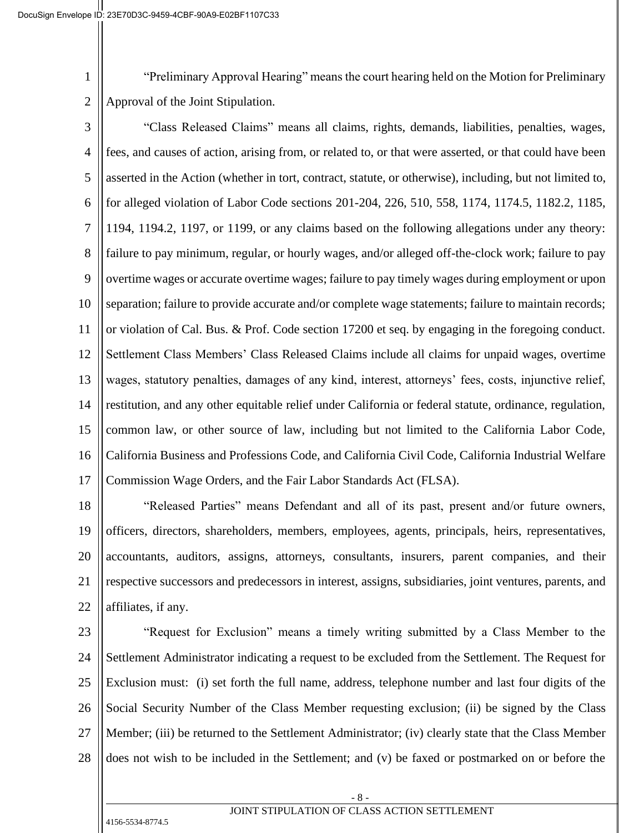1 2 "Preliminary Approval Hearing" means the court hearing held on the Motion for Preliminary Approval of the Joint Stipulation.

3 4 5 6 7 8 9 10 11 12 13 14 15 16 17 "Class Released Claims" means all claims, rights, demands, liabilities, penalties, wages, fees, and causes of action, arising from, or related to, or that were asserted, or that could have been asserted in the Action (whether in tort, contract, statute, or otherwise), including, but not limited to, for alleged violation of Labor Code sections 201-204, 226, 510, 558, 1174, 1174.5, 1182.2, 1185, 1194, 1194.2, 1197, or 1199, or any claims based on the following allegations under any theory: failure to pay minimum, regular, or hourly wages, and/or alleged off-the-clock work; failure to pay overtime wages or accurate overtime wages; failure to pay timely wages during employment or upon separation; failure to provide accurate and/or complete wage statements; failure to maintain records; or violation of Cal. Bus. & Prof. Code section 17200 et seq. by engaging in the foregoing conduct. Settlement Class Members' Class Released Claims include all claims for unpaid wages, overtime wages, statutory penalties, damages of any kind, interest, attorneys' fees, costs, injunctive relief, restitution, and any other equitable relief under California or federal statute, ordinance, regulation, common law, or other source of law, including but not limited to the California Labor Code, California Business and Professions Code, and California Civil Code, California Industrial Welfare Commission Wage Orders, and the Fair Labor Standards Act (FLSA).

18 19 20 21 22 "Released Parties" means Defendant and all of its past, present and/or future owners, officers, directors, shareholders, members, employees, agents, principals, heirs, representatives, accountants, auditors, assigns, attorneys, consultants, insurers, parent companies, and their respective successors and predecessors in interest, assigns, subsidiaries, joint ventures, parents, and affiliates, if any.

23

24 25 26 27 28 "Request for Exclusion" means a timely writing submitted by a Class Member to the Settlement Administrator indicating a request to be excluded from the Settlement. The Request for Exclusion must: (i) set forth the full name, address, telephone number and last four digits of the Social Security Number of the Class Member requesting exclusion; (ii) be signed by the Class Member; (iii) be returned to the Settlement Administrator; (iv) clearly state that the Class Member does not wish to be included in the Settlement; and (v) be faxed or postmarked on or before the

# JOINT STIPULATION OF CLASS ACTION SETTLEMENT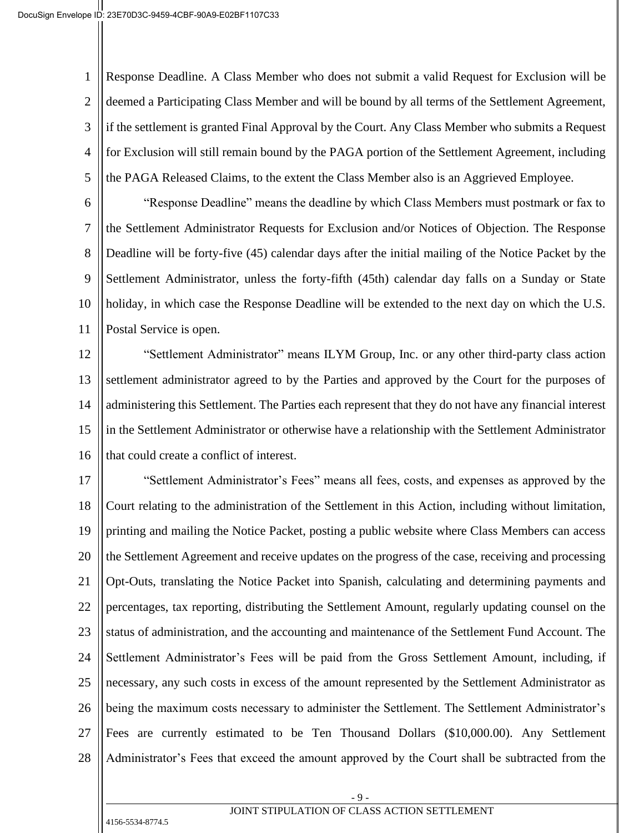1 2 3 4 5 Response Deadline. A Class Member who does not submit a valid Request for Exclusion will be deemed a Participating Class Member and will be bound by all terms of the Settlement Agreement, if the settlement is granted Final Approval by the Court. Any Class Member who submits a Request for Exclusion will still remain bound by the PAGA portion of the Settlement Agreement, including the PAGA Released Claims, to the extent the Class Member also is an Aggrieved Employee.

6 7 8 9 10 11 "Response Deadline" means the deadline by which Class Members must postmark or fax to the Settlement Administrator Requests for Exclusion and/or Notices of Objection. The Response Deadline will be forty-five (45) calendar days after the initial mailing of the Notice Packet by the Settlement Administrator, unless the forty-fifth (45th) calendar day falls on a Sunday or State holiday, in which case the Response Deadline will be extended to the next day on which the U.S. Postal Service is open.

12 13 14 15 16 "Settlement Administrator" means ILYM Group, Inc. or any other third-party class action settlement administrator agreed to by the Parties and approved by the Court for the purposes of administering this Settlement. The Parties each represent that they do not have any financial interest in the Settlement Administrator or otherwise have a relationship with the Settlement Administrator that could create a conflict of interest.

17 18 19 20 21 22 23 24 25 26 27 28 "Settlement Administrator's Fees" means all fees, costs, and expenses as approved by the Court relating to the administration of the Settlement in this Action, including without limitation, printing and mailing the Notice Packet, posting a public website where Class Members can access the Settlement Agreement and receive updates on the progress of the case, receiving and processing Opt-Outs, translating the Notice Packet into Spanish, calculating and determining payments and percentages, tax reporting, distributing the Settlement Amount, regularly updating counsel on the status of administration, and the accounting and maintenance of the Settlement Fund Account. The Settlement Administrator's Fees will be paid from the Gross Settlement Amount, including, if necessary, any such costs in excess of the amount represented by the Settlement Administrator as being the maximum costs necessary to administer the Settlement. The Settlement Administrator's Fees are currently estimated to be Ten Thousand Dollars (\$10,000.00). Any Settlement Administrator's Fees that exceed the amount approved by the Court shall be subtracted from the

> - 9 - JOINT STIPULATION OF CLASS ACTION SETTLEMENT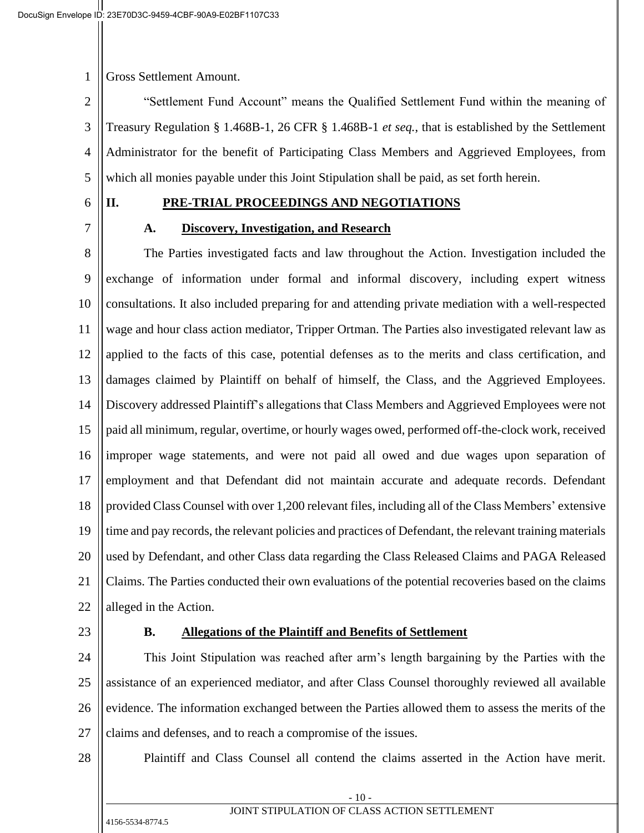1 Gross Settlement Amount.

2 3 4 5 "Settlement Fund Account" means the Qualified Settlement Fund within the meaning of Treasury Regulation § 1.468B-1, 26 CFR § 1.468B-1 *et seq.*, that is established by the Settlement Administrator for the benefit of Participating Class Members and Aggrieved Employees, from which all monies payable under this Joint Stipulation shall be paid, as set forth herein.

6

7

#### **II. PRE-TRIAL PROCEEDINGS AND NEGOTIATIONS**

#### **A. Discovery, Investigation, and Research**

8 9 10 11 12 13 14 15 16 17 18 19 20 21 22 The Parties investigated facts and law throughout the Action. Investigation included the exchange of information under formal and informal discovery, including expert witness consultations. It also included preparing for and attending private mediation with a well-respected wage and hour class action mediator, Tripper Ortman. The Parties also investigated relevant law as applied to the facts of this case, potential defenses as to the merits and class certification, and damages claimed by Plaintiff on behalf of himself, the Class, and the Aggrieved Employees. Discovery addressed Plaintiff's allegations that Class Members and Aggrieved Employees were not paid all minimum, regular, overtime, or hourly wages owed, performed off-the-clock work, received improper wage statements, and were not paid all owed and due wages upon separation of employment and that Defendant did not maintain accurate and adequate records. Defendant provided Class Counsel with over 1,200 relevant files, including all of the Class Members' extensive time and pay records, the relevant policies and practices of Defendant, the relevant training materials used by Defendant, and other Class data regarding the Class Released Claims and PAGA Released Claims. The Parties conducted their own evaluations of the potential recoveries based on the claims alleged in the Action.

23

#### **B. Allegations of the Plaintiff and Benefits of Settlement**

24 25 26 27 This Joint Stipulation was reached after arm's length bargaining by the Parties with the assistance of an experienced mediator, and after Class Counsel thoroughly reviewed all available evidence. The information exchanged between the Parties allowed them to assess the merits of the claims and defenses, and to reach a compromise of the issues.

28

Plaintiff and Class Counsel all contend the claims asserted in the Action have merit.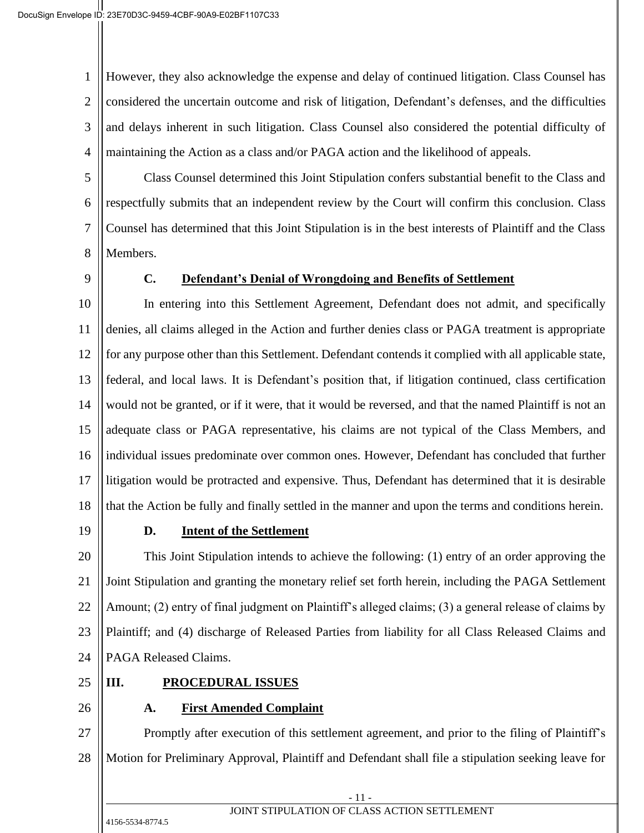1 2 3 4 However, they also acknowledge the expense and delay of continued litigation. Class Counsel has considered the uncertain outcome and risk of litigation, Defendant's defenses, and the difficulties and delays inherent in such litigation. Class Counsel also considered the potential difficulty of maintaining the Action as a class and/or PAGA action and the likelihood of appeals.

5 6 7 8 Class Counsel determined this Joint Stipulation confers substantial benefit to the Class and respectfully submits that an independent review by the Court will confirm this conclusion. Class Counsel has determined that this Joint Stipulation is in the best interests of Plaintiff and the Class Members.

9

## **C. Defendant's Denial of Wrongdoing and Benefits of Settlement**

10 11 12 13 14 15 16 17 18 In entering into this Settlement Agreement, Defendant does not admit, and specifically denies, all claims alleged in the Action and further denies class or PAGA treatment is appropriate for any purpose other than this Settlement. Defendant contends it complied with all applicable state, federal, and local laws. It is Defendant's position that, if litigation continued, class certification would not be granted, or if it were, that it would be reversed, and that the named Plaintiff is not an adequate class or PAGA representative, his claims are not typical of the Class Members, and individual issues predominate over common ones. However, Defendant has concluded that further litigation would be protracted and expensive. Thus, Defendant has determined that it is desirable that the Action be fully and finally settled in the manner and upon the terms and conditions herein.

19

#### **D. Intent of the Settlement**

20 21 22 23 24 This Joint Stipulation intends to achieve the following: (1) entry of an order approving the Joint Stipulation and granting the monetary relief set forth herein, including the PAGA Settlement Amount; (2) entry of final judgment on Plaintiff's alleged claims; (3) a general release of claims by Plaintiff; and (4) discharge of Released Parties from liability for all Class Released Claims and PAGA Released Claims.

25

# **III. PROCEDURAL ISSUES**

26

# **A. First Amended Complaint**

27 28 Promptly after execution of this settlement agreement, and prior to the filing of Plaintiff's Motion for Preliminary Approval, Plaintiff and Defendant shall file a stipulation seeking leave for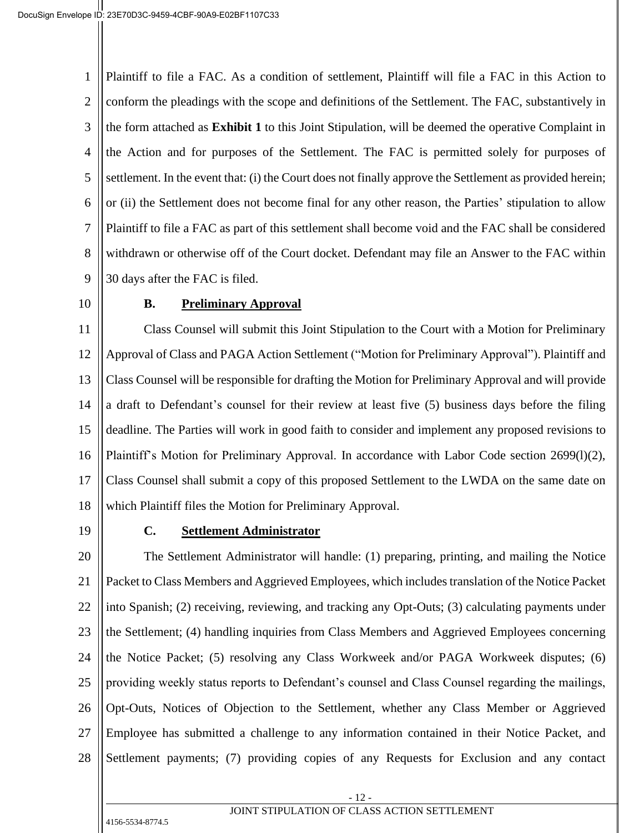1 2 3 4 5 6 7 8 9 Plaintiff to file a FAC. As a condition of settlement, Plaintiff will file a FAC in this Action to conform the pleadings with the scope and definitions of the Settlement. The FAC, substantively in the form attached as **Exhibit 1** to this Joint Stipulation, will be deemed the operative Complaint in the Action and for purposes of the Settlement. The FAC is permitted solely for purposes of settlement. In the event that: (i) the Court does not finally approve the Settlement as provided herein; or (ii) the Settlement does not become final for any other reason, the Parties' stipulation to allow Plaintiff to file a FAC as part of this settlement shall become void and the FAC shall be considered withdrawn or otherwise off of the Court docket. Defendant may file an Answer to the FAC within 30 days after the FAC is filed.

10

#### **B. Preliminary Approval**

11 12 13 14 15 16 17 18 Class Counsel will submit this Joint Stipulation to the Court with a Motion for Preliminary Approval of Class and PAGA Action Settlement ("Motion for Preliminary Approval"). Plaintiff and Class Counsel will be responsible for drafting the Motion for Preliminary Approval and will provide a draft to Defendant's counsel for their review at least five (5) business days before the filing deadline. The Parties will work in good faith to consider and implement any proposed revisions to Plaintiff's Motion for Preliminary Approval. In accordance with Labor Code section 2699(l)(2), Class Counsel shall submit a copy of this proposed Settlement to the LWDA on the same date on which Plaintiff files the Motion for Preliminary Approval.

19

#### **C. Settlement Administrator**

20 21 22 23 24 25 26 27 28 The Settlement Administrator will handle: (1) preparing, printing, and mailing the Notice Packet to Class Members and Aggrieved Employees, which includes translation of the Notice Packet into Spanish; (2) receiving, reviewing, and tracking any Opt-Outs; (3) calculating payments under the Settlement; (4) handling inquiries from Class Members and Aggrieved Employees concerning the Notice Packet; (5) resolving any Class Workweek and/or PAGA Workweek disputes; (6) providing weekly status reports to Defendant's counsel and Class Counsel regarding the mailings, Opt-Outs, Notices of Objection to the Settlement, whether any Class Member or Aggrieved Employee has submitted a challenge to any information contained in their Notice Packet, and Settlement payments; (7) providing copies of any Requests for Exclusion and any contact

> - 12 - JOINT STIPULATION OF CLASS ACTION SETTLEMENT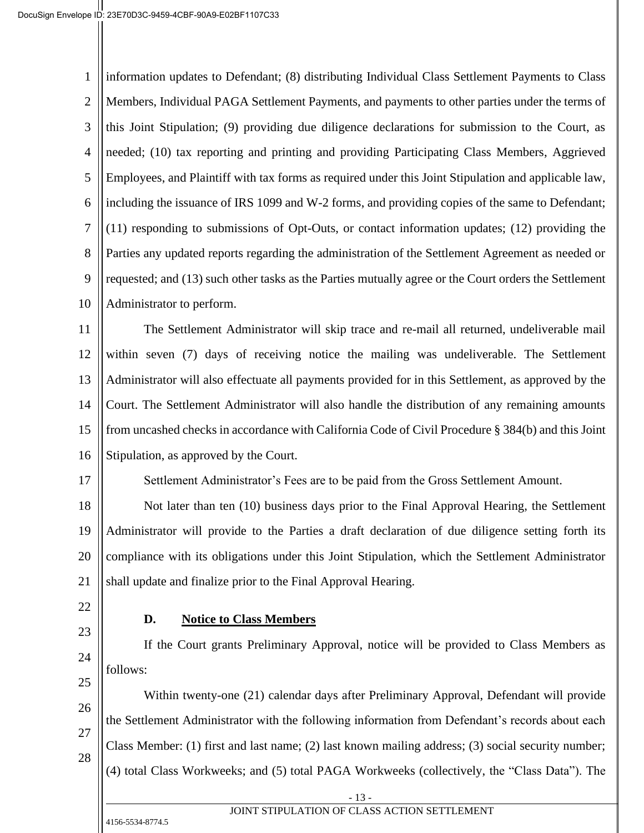1 2 3 4 5 6 7 8 9 10 information updates to Defendant; (8) distributing Individual Class Settlement Payments to Class Members, Individual PAGA Settlement Payments, and payments to other parties under the terms of this Joint Stipulation; (9) providing due diligence declarations for submission to the Court, as needed; (10) tax reporting and printing and providing Participating Class Members, Aggrieved Employees, and Plaintiff with tax forms as required under this Joint Stipulation and applicable law, including the issuance of IRS 1099 and W-2 forms, and providing copies of the same to Defendant; (11) responding to submissions of Opt-Outs, or contact information updates; (12) providing the Parties any updated reports regarding the administration of the Settlement Agreement as needed or requested; and (13) such other tasks as the Parties mutually agree or the Court orders the Settlement Administrator to perform.

11 12 13 14 15 16 The Settlement Administrator will skip trace and re-mail all returned, undeliverable mail within seven (7) days of receiving notice the mailing was undeliverable. The Settlement Administrator will also effectuate all payments provided for in this Settlement, as approved by the Court. The Settlement Administrator will also handle the distribution of any remaining amounts from uncashed checks in accordance with California Code of Civil Procedure § 384(b) and this Joint Stipulation, as approved by the Court.

Settlement Administrator's Fees are to be paid from the Gross Settlement Amount.

18 19 20 21 Not later than ten (10) business days prior to the Final Approval Hearing, the Settlement Administrator will provide to the Parties a draft declaration of due diligence setting forth its compliance with its obligations under this Joint Stipulation, which the Settlement Administrator shall update and finalize prior to the Final Approval Hearing.

22

17

23

24

# **D. Notice to Class Members**

If the Court grants Preliminary Approval, notice will be provided to Class Members as follows:

Within twenty-one (21) calendar days after Preliminary Approval, Defendant will provide

- 25 26
- 27 28

Class Member: (1) first and last name; (2) last known mailing address; (3) social security number; (4) total Class Workweeks; and (5) total PAGA Workweeks (collectively, the "Class Data"). The

the Settlement Administrator with the following information from Defendant's records about each

4156-5534-8774.5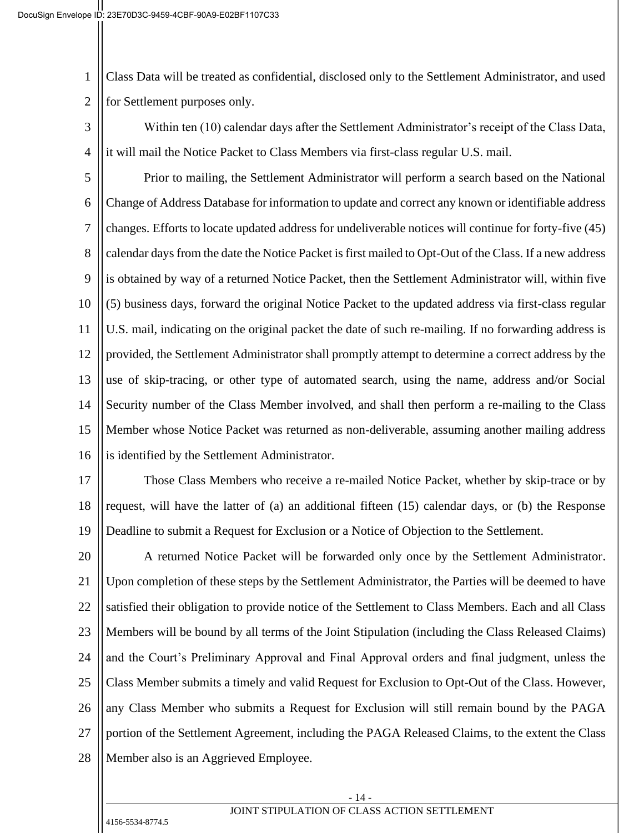1 2 Class Data will be treated as confidential, disclosed only to the Settlement Administrator, and used for Settlement purposes only.

3 4 Within ten (10) calendar days after the Settlement Administrator's receipt of the Class Data, it will mail the Notice Packet to Class Members via first-class regular U.S. mail.

5 6 7 8 9 10 11 12 13 14 15 16 Prior to mailing, the Settlement Administrator will perform a search based on the National Change of Address Database for information to update and correct any known or identifiable address changes. Efforts to locate updated address for undeliverable notices will continue for forty-five (45) calendar days from the date the Notice Packet is first mailed to Opt-Out of the Class. If a new address is obtained by way of a returned Notice Packet, then the Settlement Administrator will, within five (5) business days, forward the original Notice Packet to the updated address via first-class regular U.S. mail, indicating on the original packet the date of such re-mailing. If no forwarding address is provided, the Settlement Administrator shall promptly attempt to determine a correct address by the use of skip-tracing, or other type of automated search, using the name, address and/or Social Security number of the Class Member involved, and shall then perform a re-mailing to the Class Member whose Notice Packet was returned as non-deliverable, assuming another mailing address is identified by the Settlement Administrator.

17 18 19 Those Class Members who receive a re-mailed Notice Packet, whether by skip-trace or by request, will have the latter of (a) an additional fifteen (15) calendar days, or (b) the Response Deadline to submit a Request for Exclusion or a Notice of Objection to the Settlement.

20 21 22 23 24 25 26 27 28 A returned Notice Packet will be forwarded only once by the Settlement Administrator. Upon completion of these steps by the Settlement Administrator, the Parties will be deemed to have satisfied their obligation to provide notice of the Settlement to Class Members. Each and all Class Members will be bound by all terms of the Joint Stipulation (including the Class Released Claims) and the Court's Preliminary Approval and Final Approval orders and final judgment, unless the Class Member submits a timely and valid Request for Exclusion to Opt-Out of the Class. However, any Class Member who submits a Request for Exclusion will still remain bound by the PAGA portion of the Settlement Agreement, including the PAGA Released Claims, to the extent the Class Member also is an Aggrieved Employee.

#### - 14 - JOINT STIPULATION OF CLASS ACTION SETTLEMENT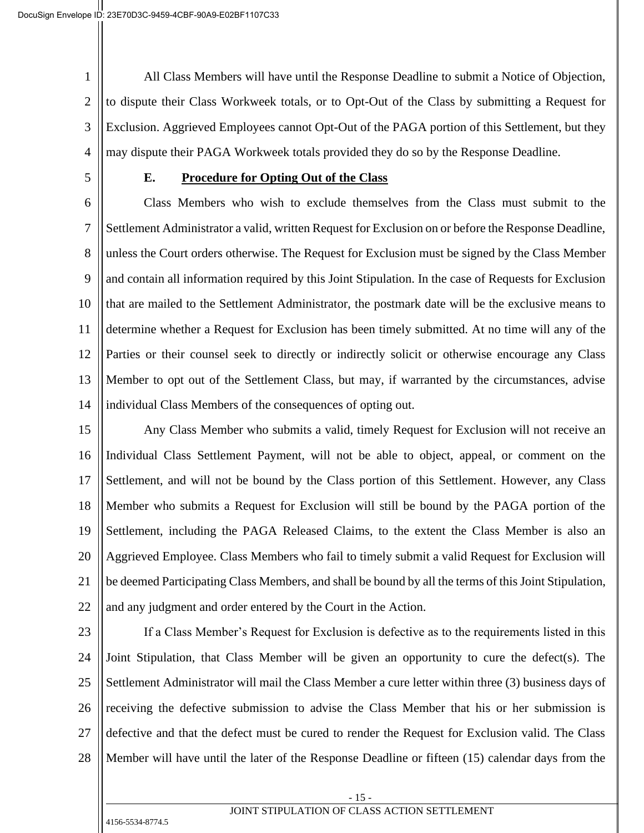1 2 3 4 All Class Members will have until the Response Deadline to submit a Notice of Objection, to dispute their Class Workweek totals, or to Opt-Out of the Class by submitting a Request for Exclusion. Aggrieved Employees cannot Opt-Out of the PAGA portion of this Settlement, but they may dispute their PAGA Workweek totals provided they do so by the Response Deadline.

5

#### **E. Procedure for Opting Out of the Class**

6 7 8 9 10 11 12 13 14 Class Members who wish to exclude themselves from the Class must submit to the Settlement Administrator a valid, written Request for Exclusion on or before the Response Deadline, unless the Court orders otherwise. The Request for Exclusion must be signed by the Class Member and contain all information required by this Joint Stipulation. In the case of Requests for Exclusion that are mailed to the Settlement Administrator, the postmark date will be the exclusive means to determine whether a Request for Exclusion has been timely submitted. At no time will any of the Parties or their counsel seek to directly or indirectly solicit or otherwise encourage any Class Member to opt out of the Settlement Class, but may, if warranted by the circumstances, advise individual Class Members of the consequences of opting out.

15 16 17 18 19 20 21 22 Any Class Member who submits a valid, timely Request for Exclusion will not receive an Individual Class Settlement Payment, will not be able to object, appeal, or comment on the Settlement, and will not be bound by the Class portion of this Settlement. However, any Class Member who submits a Request for Exclusion will still be bound by the PAGA portion of the Settlement, including the PAGA Released Claims, to the extent the Class Member is also an Aggrieved Employee. Class Members who fail to timely submit a valid Request for Exclusion will be deemed Participating Class Members, and shall be bound by all the terms of this Joint Stipulation, and any judgment and order entered by the Court in the Action.

23

24 25 26 27 28 If a Class Member's Request for Exclusion is defective as to the requirements listed in this Joint Stipulation, that Class Member will be given an opportunity to cure the defect(s). The Settlement Administrator will mail the Class Member a cure letter within three (3) business days of receiving the defective submission to advise the Class Member that his or her submission is defective and that the defect must be cured to render the Request for Exclusion valid. The Class Member will have until the later of the Response Deadline or fifteen (15) calendar days from the

> - 15 - JOINT STIPULATION OF CLASS ACTION SETTLEMENT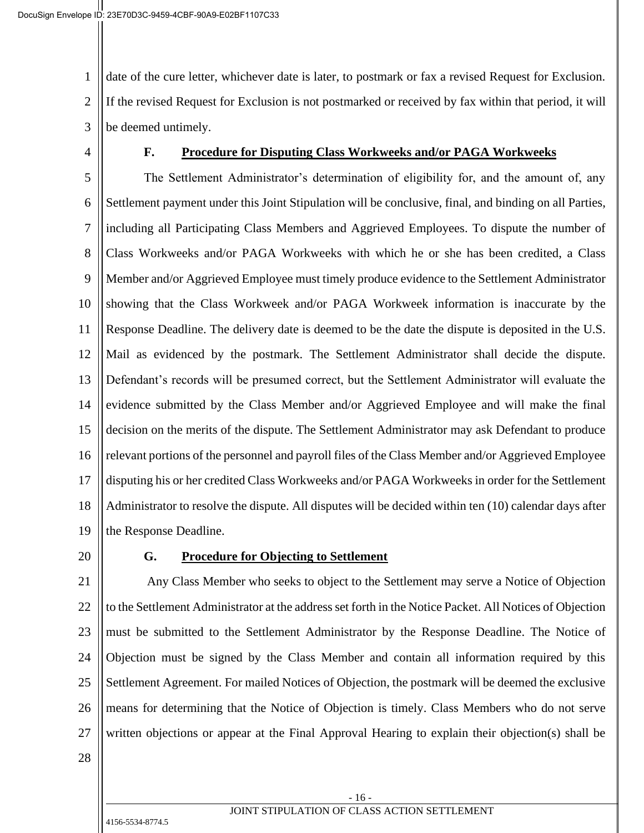1 2 3 date of the cure letter, whichever date is later, to postmark or fax a revised Request for Exclusion. If the revised Request for Exclusion is not postmarked or received by fax within that period, it will be deemed untimely.

4

#### **F. Procedure for Disputing Class Workweeks and/or PAGA Workweeks**

5 6 7 8 9 10 11 12 13 14 15 16 17 18 19 The Settlement Administrator's determination of eligibility for, and the amount of, any Settlement payment under this Joint Stipulation will be conclusive, final, and binding on all Parties, including all Participating Class Members and Aggrieved Employees. To dispute the number of Class Workweeks and/or PAGA Workweeks with which he or she has been credited, a Class Member and/or Aggrieved Employee must timely produce evidence to the Settlement Administrator showing that the Class Workweek and/or PAGA Workweek information is inaccurate by the Response Deadline. The delivery date is deemed to be the date the dispute is deposited in the U.S. Mail as evidenced by the postmark. The Settlement Administrator shall decide the dispute. Defendant's records will be presumed correct, but the Settlement Administrator will evaluate the evidence submitted by the Class Member and/or Aggrieved Employee and will make the final decision on the merits of the dispute. The Settlement Administrator may ask Defendant to produce relevant portions of the personnel and payroll files of the Class Member and/or Aggrieved Employee disputing his or her credited Class Workweeks and/or PAGA Workweeks in order for the Settlement Administrator to resolve the dispute. All disputes will be decided within ten (10) calendar days after the Response Deadline.

20

#### **G. Procedure for Objecting to Settlement**

21 22 23 24 25 26 27 Any Class Member who seeks to object to the Settlement may serve a Notice of Objection to the Settlement Administrator at the address set forth in the Notice Packet. All Notices of Objection must be submitted to the Settlement Administrator by the Response Deadline. The Notice of Objection must be signed by the Class Member and contain all information required by this Settlement Agreement. For mailed Notices of Objection, the postmark will be deemed the exclusive means for determining that the Notice of Objection is timely. Class Members who do not serve written objections or appear at the Final Approval Hearing to explain their objection(s) shall be

28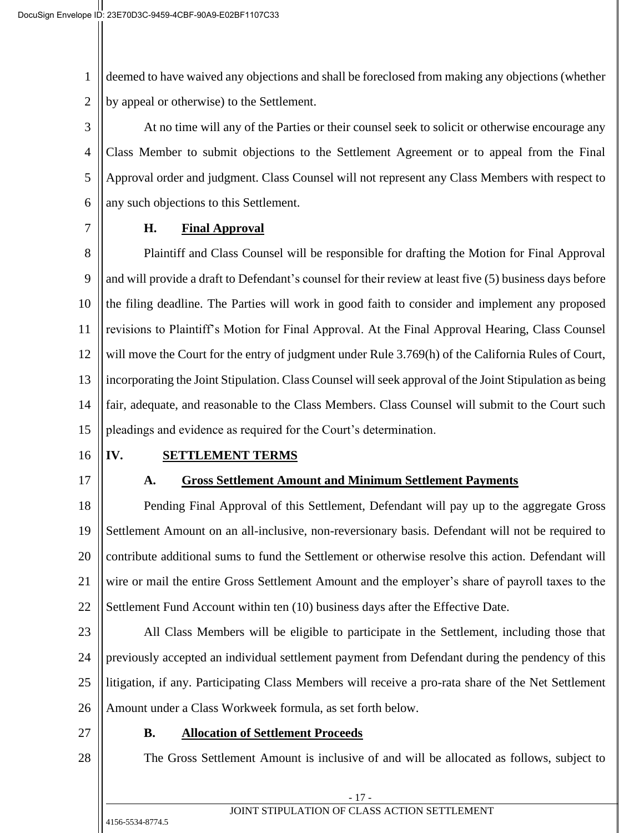1 2 deemed to have waived any objections and shall be foreclosed from making any objections (whether by appeal or otherwise) to the Settlement.

3 4 5 6 At no time will any of the Parties or their counsel seek to solicit or otherwise encourage any Class Member to submit objections to the Settlement Agreement or to appeal from the Final Approval order and judgment. Class Counsel will not represent any Class Members with respect to any such objections to this Settlement.

7

## **H. Final Approval**

8 9 10 11 12 13 14 15 Plaintiff and Class Counsel will be responsible for drafting the Motion for Final Approval and will provide a draft to Defendant's counsel for their review at least five (5) business days before the filing deadline. The Parties will work in good faith to consider and implement any proposed revisions to Plaintiff's Motion for Final Approval. At the Final Approval Hearing, Class Counsel will move the Court for the entry of judgment under Rule 3.769(h) of the California Rules of Court, incorporating the Joint Stipulation. Class Counsel will seek approval of the Joint Stipulation as being fair, adequate, and reasonable to the Class Members. Class Counsel will submit to the Court such pleadings and evidence as required for the Court's determination.

16

17

## **IV. SETTLEMENT TERMS**

## **A. Gross Settlement Amount and Minimum Settlement Payments**

18 19 20 21 22 Pending Final Approval of this Settlement, Defendant will pay up to the aggregate Gross Settlement Amount on an all-inclusive, non-reversionary basis. Defendant will not be required to contribute additional sums to fund the Settlement or otherwise resolve this action. Defendant will wire or mail the entire Gross Settlement Amount and the employer's share of payroll taxes to the Settlement Fund Account within ten (10) business days after the Effective Date.

23

24 25 26 All Class Members will be eligible to participate in the Settlement, including those that previously accepted an individual settlement payment from Defendant during the pendency of this litigation, if any. Participating Class Members will receive a pro-rata share of the Net Settlement Amount under a Class Workweek formula, as set forth below.

27

28

## **B. Allocation of Settlement Proceeds**

The Gross Settlement Amount is inclusive of and will be allocated as follows, subject to

- 17 -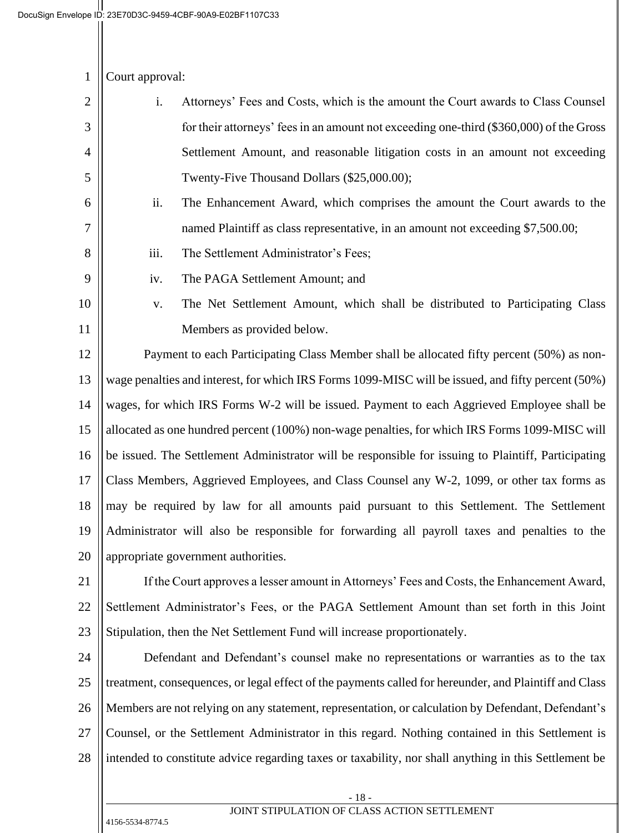| 1 $\vert$ Court approval: |  |
|---------------------------|--|
|---------------------------|--|

| 2 | Attorneys' Fees and Costs, which is the amount the Court awards to Class Counsel        |
|---|-----------------------------------------------------------------------------------------|
| 3 | for their attorneys' fees in an amount not exceeding one-third (\$360,000) of the Gross |
| 4 | Settlement Amount, and reasonable litigation costs in an amount not exceeding           |
| 5 | Twenty-Five Thousand Dollars (\$25,000.00);                                             |

ii. The Enhancement Award, which comprises the amount the Court awards to the named Plaintiff as class representative, in an amount not exceeding \$7,500.00;

- iii. The Settlement Administrator's Fees;
	- iv. The PAGA Settlement Amount; and

# 10 11

6

 $\mathbf{\mathsf{H}}$ 

7

8

9

v. The Net Settlement Amount, which shall be distributed to Participating Class Members as provided below.

12 13 14 15 16 17 18 19 20 Payment to each Participating Class Member shall be allocated fifty percent (50%) as nonwage penalties and interest, for which IRS Forms 1099-MISC will be issued, and fifty percent (50%) wages, for which IRS Forms W-2 will be issued. Payment to each Aggrieved Employee shall be allocated as one hundred percent (100%) non-wage penalties, for which IRS Forms 1099-MISC will be issued. The Settlement Administrator will be responsible for issuing to Plaintiff, Participating Class Members, Aggrieved Employees, and Class Counsel any W-2, 1099, or other tax forms as may be required by law for all amounts paid pursuant to this Settlement. The Settlement Administrator will also be responsible for forwarding all payroll taxes and penalties to the appropriate government authorities.

21 22 23 If the Court approves a lesser amount in Attorneys' Fees and Costs, the Enhancement Award, Settlement Administrator's Fees, or the PAGA Settlement Amount than set forth in this Joint Stipulation, then the Net Settlement Fund will increase proportionately.

24 25 26 27 28 Defendant and Defendant's counsel make no representations or warranties as to the tax treatment, consequences, or legal effect of the payments called for hereunder, and Plaintiff and Class Members are not relying on any statement, representation, or calculation by Defendant, Defendant's Counsel, or the Settlement Administrator in this regard. Nothing contained in this Settlement is intended to constitute advice regarding taxes or taxability, nor shall anything in this Settlement be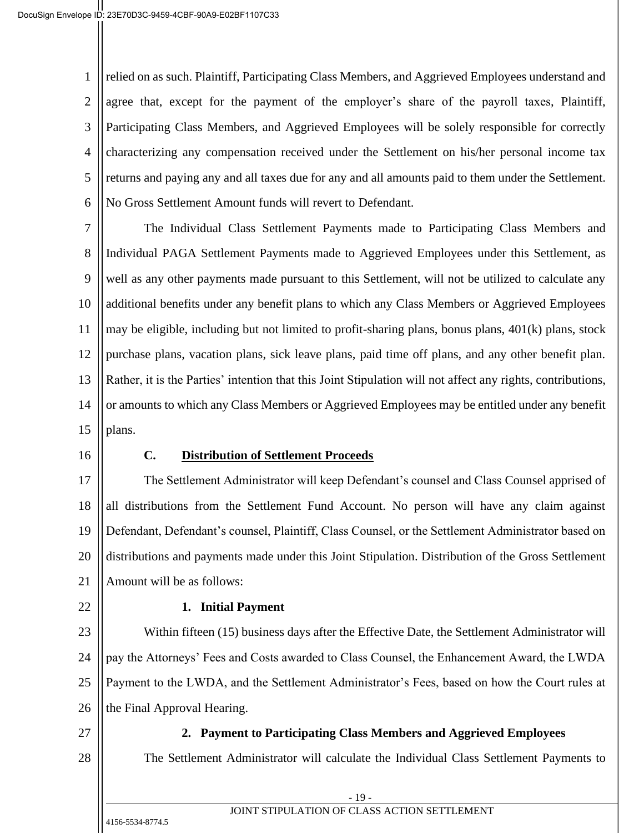1 2 3 4 5 6 relied on as such. Plaintiff, Participating Class Members, and Aggrieved Employees understand and agree that, except for the payment of the employer's share of the payroll taxes, Plaintiff, Participating Class Members, and Aggrieved Employees will be solely responsible for correctly characterizing any compensation received under the Settlement on his/her personal income tax returns and paying any and all taxes due for any and all amounts paid to them under the Settlement. No Gross Settlement Amount funds will revert to Defendant.

7 8 9 10 11 12 13 14 15 The Individual Class Settlement Payments made to Participating Class Members and Individual PAGA Settlement Payments made to Aggrieved Employees under this Settlement, as well as any other payments made pursuant to this Settlement, will not be utilized to calculate any additional benefits under any benefit plans to which any Class Members or Aggrieved Employees may be eligible, including but not limited to profit-sharing plans, bonus plans, 401(k) plans, stock purchase plans, vacation plans, sick leave plans, paid time off plans, and any other benefit plan. Rather, it is the Parties' intention that this Joint Stipulation will not affect any rights, contributions, or amounts to which any Class Members or Aggrieved Employees may be entitled under any benefit plans.

16

#### **C. Distribution of Settlement Proceeds**

17 18 19 20 21 The Settlement Administrator will keep Defendant's counsel and Class Counsel apprised of all distributions from the Settlement Fund Account. No person will have any claim against Defendant, Defendant's counsel, Plaintiff, Class Counsel, or the Settlement Administrator based on distributions and payments made under this Joint Stipulation. Distribution of the Gross Settlement Amount will be as follows:

22

#### **1. Initial Payment**

23 24 25 26 Within fifteen (15) business days after the Effective Date, the Settlement Administrator will pay the Attorneys' Fees and Costs awarded to Class Counsel, the Enhancement Award, the LWDA Payment to the LWDA, and the Settlement Administrator's Fees, based on how the Court rules at the Final Approval Hearing.

27

28

## **2. Payment to Participating Class Members and Aggrieved Employees**

The Settlement Administrator will calculate the Individual Class Settlement Payments to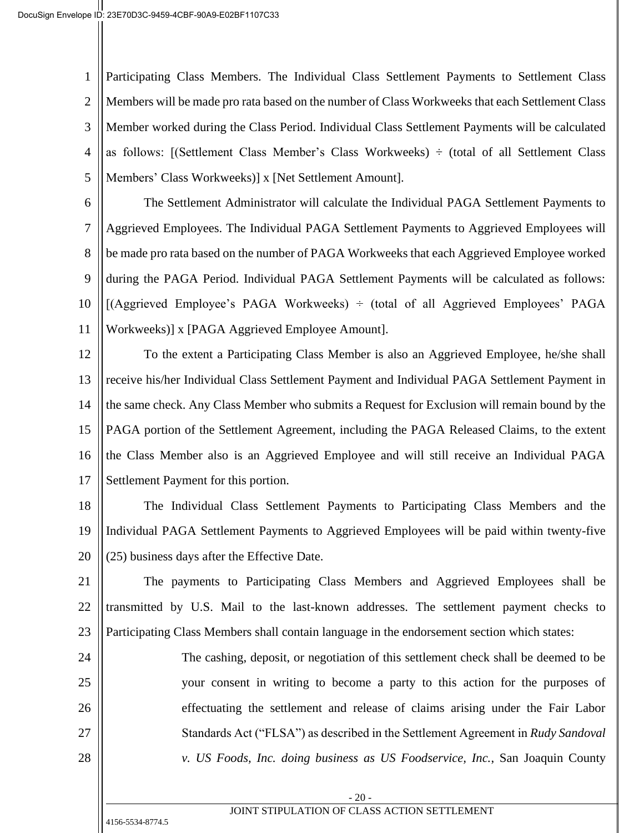1 2 3 4 5 Participating Class Members. The Individual Class Settlement Payments to Settlement Class Members will be made pro rata based on the number of Class Workweeks that each Settlement Class Member worked during the Class Period. Individual Class Settlement Payments will be calculated as follows: [(Settlement Class Member's Class Workweeks)  $\div$  (total of all Settlement Class Members' Class Workweeks)] x [Net Settlement Amount].

6 7 8 9 10 11 The Settlement Administrator will calculate the Individual PAGA Settlement Payments to Aggrieved Employees. The Individual PAGA Settlement Payments to Aggrieved Employees will be made pro rata based on the number of PAGA Workweeks that each Aggrieved Employee worked during the PAGA Period. Individual PAGA Settlement Payments will be calculated as follows:  $[(Aggrieved) Employee's PAGA Workweeks) \div (total of all Aggrieved Employees' PAGA)$ Workweeks)] x [PAGA Aggrieved Employee Amount].

12 13 14 15 16 17 To the extent a Participating Class Member is also an Aggrieved Employee, he/she shall receive his/her Individual Class Settlement Payment and Individual PAGA Settlement Payment in the same check. Any Class Member who submits a Request for Exclusion will remain bound by the PAGA portion of the Settlement Agreement, including the PAGA Released Claims, to the extent the Class Member also is an Aggrieved Employee and will still receive an Individual PAGA Settlement Payment for this portion.

18 19 20 The Individual Class Settlement Payments to Participating Class Members and the Individual PAGA Settlement Payments to Aggrieved Employees will be paid within twenty-five (25) business days after the Effective Date.

21 22 23 The payments to Participating Class Members and Aggrieved Employees shall be transmitted by U.S. Mail to the last-known addresses. The settlement payment checks to Participating Class Members shall contain language in the endorsement section which states:

24 25 26 27 28 The cashing, deposit, or negotiation of this settlement check shall be deemed to be your consent in writing to become a party to this action for the purposes of effectuating the settlement and release of claims arising under the Fair Labor Standards Act ("FLSA") as described in the Settlement Agreement in *Rudy Sandoval v. US Foods, Inc. doing business as US Foodservice, Inc.*, San Joaquin County

- 20 -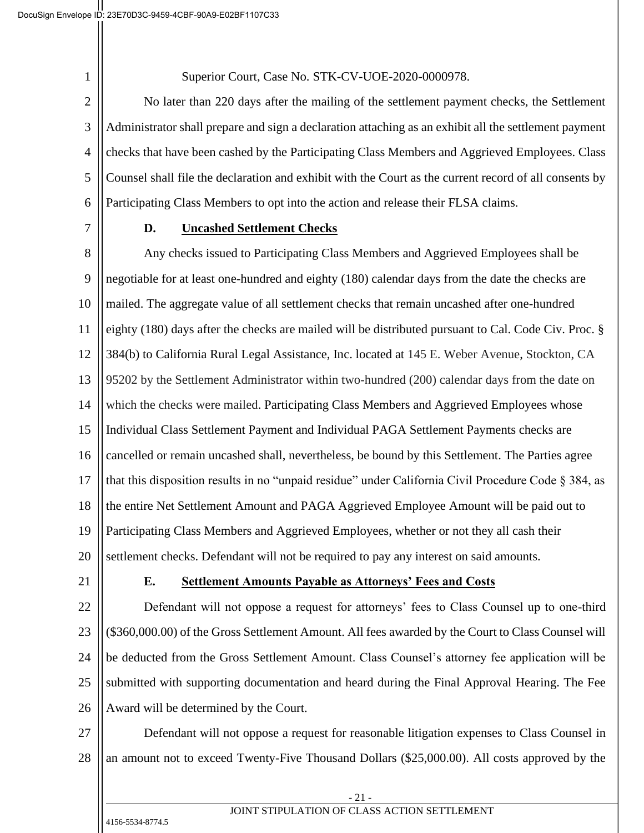Superior Court, Case No. STK-CV-UOE-2020-0000978.

2 3 4 5 6 No later than 220 days after the mailing of the settlement payment checks, the Settlement Administrator shall prepare and sign a declaration attaching as an exhibit all the settlement payment checks that have been cashed by the Participating Class Members and Aggrieved Employees. Class Counsel shall file the declaration and exhibit with the Court as the current record of all consents by Participating Class Members to opt into the action and release their FLSA claims.

7

1

#### **D. Uncashed Settlement Checks**

8 9 10 11 12 13 14 15 16 17 18 19 20 Any checks issued to Participating Class Members and Aggrieved Employees shall be negotiable for at least one-hundred and eighty (180) calendar days from the date the checks are mailed. The aggregate value of all settlement checks that remain uncashed after one-hundred eighty (180) days after the checks are mailed will be distributed pursuant to Cal. Code Civ. Proc. § 384(b) to California Rural Legal Assistance, Inc. located at 145 E. Weber Avenue, Stockton, CA 95202 by the Settlement Administrator within two-hundred (200) calendar days from the date on which the checks were mailed. Participating Class Members and Aggrieved Employees whose Individual Class Settlement Payment and Individual PAGA Settlement Payments checks are cancelled or remain uncashed shall, nevertheless, be bound by this Settlement. The Parties agree that this disposition results in no "unpaid residue" under California Civil Procedure Code § 384, as the entire Net Settlement Amount and PAGA Aggrieved Employee Amount will be paid out to Participating Class Members and Aggrieved Employees, whether or not they all cash their settlement checks. Defendant will not be required to pay any interest on said amounts.

21

#### **E. Settlement Amounts Payable as Attorneys' Fees and Costs**

22 23 24 25 26 Defendant will not oppose a request for attorneys' fees to Class Counsel up to one-third (\$360,000.00) of the Gross Settlement Amount. All fees awarded by the Court to Class Counsel will be deducted from the Gross Settlement Amount. Class Counsel's attorney fee application will be submitted with supporting documentation and heard during the Final Approval Hearing. The Fee Award will be determined by the Court.

27 28 Defendant will not oppose a request for reasonable litigation expenses to Class Counsel in an amount not to exceed Twenty-Five Thousand Dollars (\$25,000.00). All costs approved by the

> - 21 - JOINT STIPULATION OF CLASS ACTION SETTLEMENT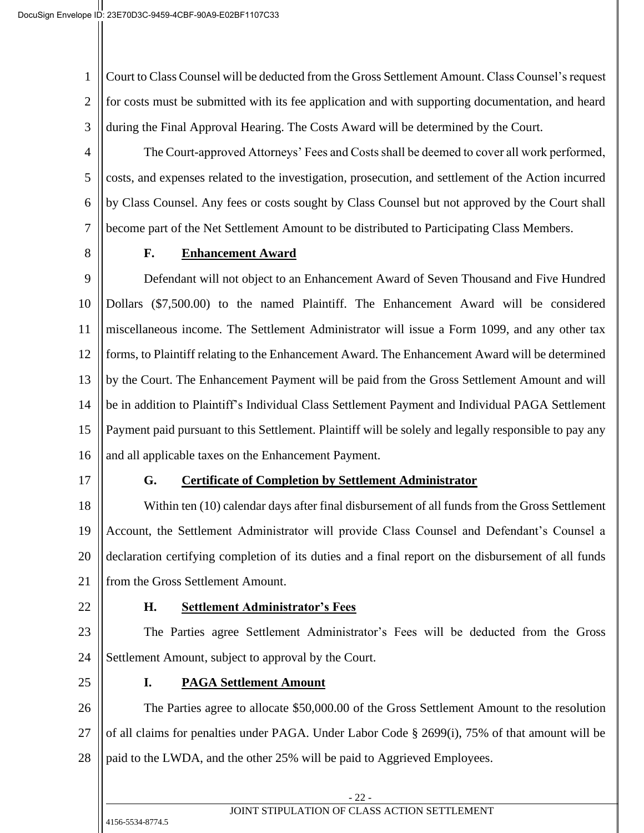1 2 3 Court to Class Counsel will be deducted from the Gross Settlement Amount. Class Counsel's request for costs must be submitted with its fee application and with supporting documentation, and heard during the Final Approval Hearing. The Costs Award will be determined by the Court.

4 5 6 7 The Court-approved Attorneys' Fees and Costs shall be deemed to cover all work performed, costs, and expenses related to the investigation, prosecution, and settlement of the Action incurred by Class Counsel. Any fees or costs sought by Class Counsel but not approved by the Court shall become part of the Net Settlement Amount to be distributed to Participating Class Members.

8

## **F. Enhancement Award**

9 10 11 12 13 14 15 16 Defendant will not object to an Enhancement Award of Seven Thousand and Five Hundred Dollars (\$7,500.00) to the named Plaintiff. The Enhancement Award will be considered miscellaneous income. The Settlement Administrator will issue a Form 1099, and any other tax forms, to Plaintiff relating to the Enhancement Award. The Enhancement Award will be determined by the Court. The Enhancement Payment will be paid from the Gross Settlement Amount and will be in addition to Plaintiff's Individual Class Settlement Payment and Individual PAGA Settlement Payment paid pursuant to this Settlement. Plaintiff will be solely and legally responsible to pay any and all applicable taxes on the Enhancement Payment.

17

# **G. Certificate of Completion by Settlement Administrator**

18 19 20 21 Within ten (10) calendar days after final disbursement of all funds from the Gross Settlement Account, the Settlement Administrator will provide Class Counsel and Defendant's Counsel a declaration certifying completion of its duties and a final report on the disbursement of all funds from the Gross Settlement Amount.

22

# **H. Settlement Administrator's Fees**

23 24 The Parties agree Settlement Administrator's Fees will be deducted from the Gross Settlement Amount, subject to approval by the Court.

25

# **I. PAGA Settlement Amount**

26 27 28 The Parties agree to allocate \$50,000.00 of the Gross Settlement Amount to the resolution of all claims for penalties under PAGA. Under Labor Code § 2699(i), 75% of that amount will be paid to the LWDA, and the other 25% will be paid to Aggrieved Employees.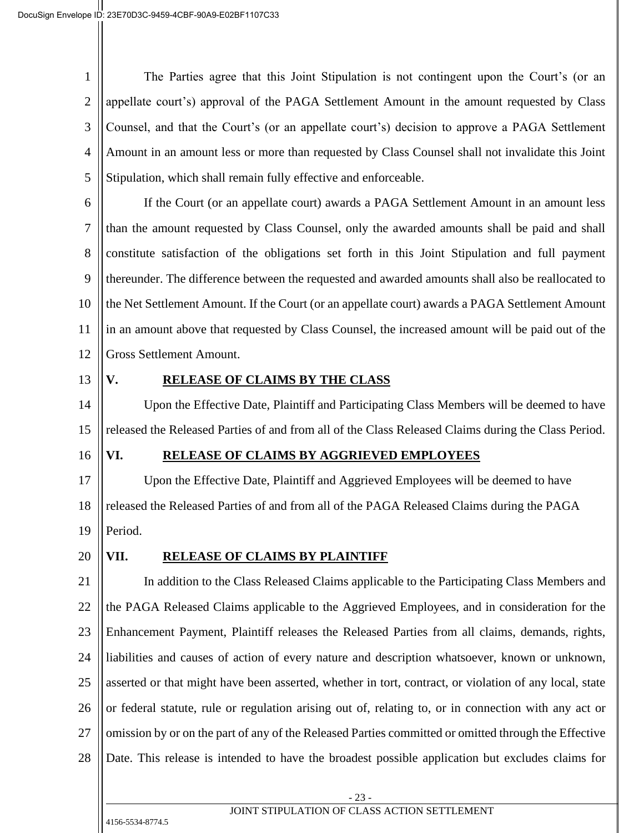1 2 3 4 5 The Parties agree that this Joint Stipulation is not contingent upon the Court's (or an appellate court's) approval of the PAGA Settlement Amount in the amount requested by Class Counsel, and that the Court's (or an appellate court's) decision to approve a PAGA Settlement Amount in an amount less or more than requested by Class Counsel shall not invalidate this Joint Stipulation, which shall remain fully effective and enforceable.

6 7 8 9 10 11 12 If the Court (or an appellate court) awards a PAGA Settlement Amount in an amount less than the amount requested by Class Counsel, only the awarded amounts shall be paid and shall constitute satisfaction of the obligations set forth in this Joint Stipulation and full payment thereunder. The difference between the requested and awarded amounts shall also be reallocated to the Net Settlement Amount. If the Court (or an appellate court) awards a PAGA Settlement Amount in an amount above that requested by Class Counsel, the increased amount will be paid out of the Gross Settlement Amount.

13

# **V. RELEASE OF CLAIMS BY THE CLASS**

14 15 Upon the Effective Date, Plaintiff and Participating Class Members will be deemed to have released the Released Parties of and from all of the Class Released Claims during the Class Period.

16

#### **VI. RELEASE OF CLAIMS BY AGGRIEVED EMPLOYEES**

17 18 19 Upon the Effective Date, Plaintiff and Aggrieved Employees will be deemed to have released the Released Parties of and from all of the PAGA Released Claims during the PAGA Period.

20

## **VII. RELEASE OF CLAIMS BY PLAINTIFF**

21 22 23 24 25 26 27 28 In addition to the Class Released Claims applicable to the Participating Class Members and the PAGA Released Claims applicable to the Aggrieved Employees, and in consideration for the Enhancement Payment, Plaintiff releases the Released Parties from all claims, demands, rights, liabilities and causes of action of every nature and description whatsoever, known or unknown, asserted or that might have been asserted, whether in tort, contract, or violation of any local, state or federal statute, rule or regulation arising out of, relating to, or in connection with any act or omission by or on the part of any of the Released Parties committed or omitted through the Effective Date. This release is intended to have the broadest possible application but excludes claims for

- 23 -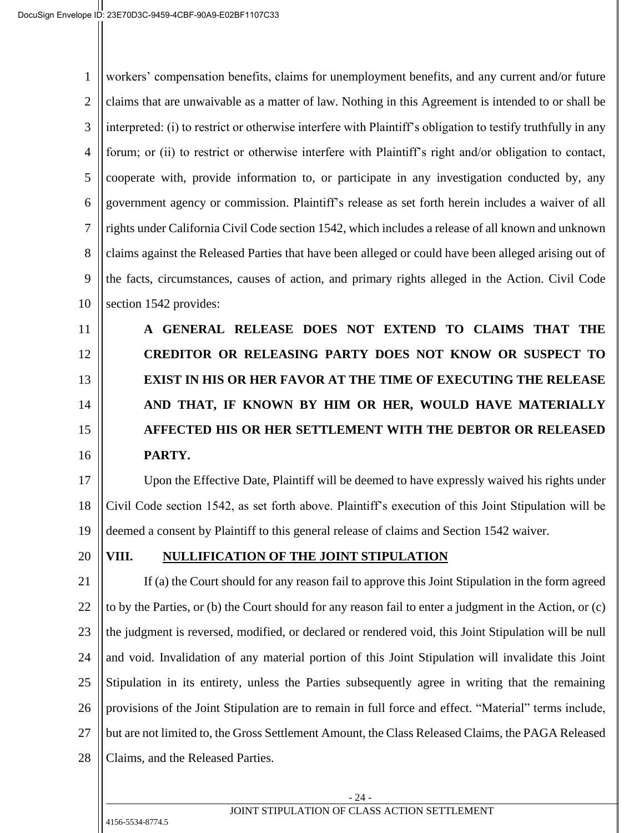1 2 3 4 5 6 7 8 9 10 workers' compensation benefits, claims for unemployment benefits, and any current and/or future claims that are unwaivable as a matter of law. Nothing in this Agreement is intended to or shall be interpreted: (i) to restrict or otherwise interfere with Plaintiff's obligation to testify truthfully in any forum; or (ii) to restrict or otherwise interfere with Plaintiff's right and/or obligation to contact, cooperate with, provide information to, or participate in any investigation conducted by, any government agency or commission. Plaintiff's release as set forth herein includes a waiver of all rights under California Civil Code section 1542, which includes a release of all known and unknown claims against the Released Parties that have been alleged or could have been alleged arising out of the facts, circumstances, causes of action, and primary rights alleged in the Action. Civil Code section 1542 provides:

11 12 13 14 15 16 **A GENERAL RELEASE DOES NOT EXTEND TO CLAIMS THAT THE CREDITOR OR RELEASING PARTY DOES NOT KNOW OR SUSPECT TO EXIST IN HIS OR HER FAVOR AT THE TIME OF EXECUTING THE RELEASE AND THAT, IF KNOWN BY HIM OR HER, WOULD HAVE MATERIALLY AFFECTED HIS OR HER SETTLEMENT WITH THE DEBTOR OR RELEASED PARTY.** 

17 18 19 Upon the Effective Date, Plaintiff will be deemed to have expressly waived his rights under Civil Code section 1542, as set forth above. Plaintiff's execution of this Joint Stipulation will be deemed a consent by Plaintiff to this general release of claims and Section 1542 waiver.

20

## **VIII. NULLIFICATION OF THE JOINT STIPULATION**

21 22 23 24 25 26 27 28 If (a) the Court should for any reason fail to approve this Joint Stipulation in the form agreed to by the Parties, or (b) the Court should for any reason fail to enter a judgment in the Action, or (c) the judgment is reversed, modified, or declared or rendered void, this Joint Stipulation will be null and void. Invalidation of any material portion of this Joint Stipulation will invalidate this Joint Stipulation in its entirety, unless the Parties subsequently agree in writing that the remaining provisions of the Joint Stipulation are to remain in full force and effect. "Material" terms include, but are not limited to, the Gross Settlement Amount, the Class Released Claims, the PAGA Released Claims, and the Released Parties.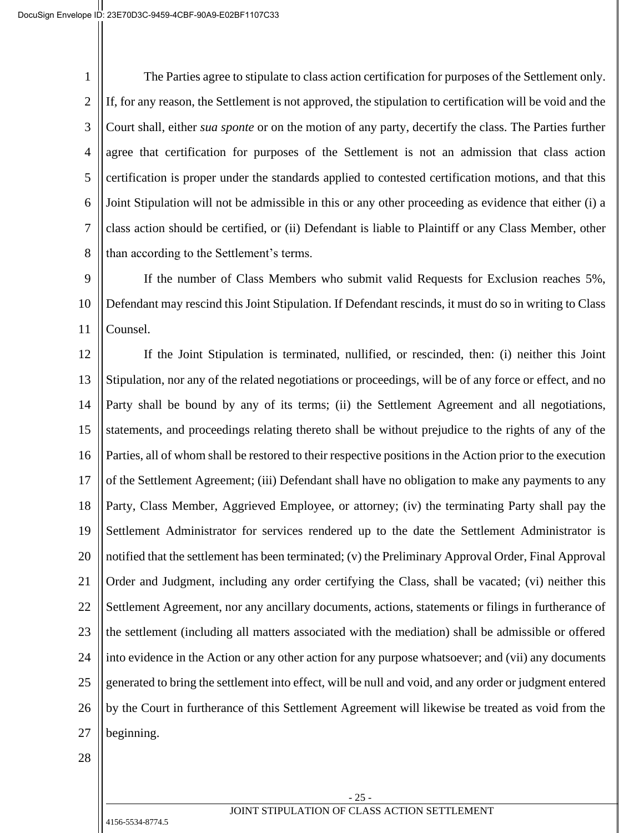1 2 3 4 5 6 7 8 The Parties agree to stipulate to class action certification for purposes of the Settlement only. If, for any reason, the Settlement is not approved, the stipulation to certification will be void and the Court shall, either *sua sponte* or on the motion of any party, decertify the class. The Parties further agree that certification for purposes of the Settlement is not an admission that class action certification is proper under the standards applied to contested certification motions, and that this Joint Stipulation will not be admissible in this or any other proceeding as evidence that either (i) a class action should be certified, or (ii) Defendant is liable to Plaintiff or any Class Member, other than according to the Settlement's terms.

9 10 11 If the number of Class Members who submit valid Requests for Exclusion reaches 5%, Defendant may rescind this Joint Stipulation. If Defendant rescinds, it must do so in writing to Class Counsel.

12 13 14 15 16 17 18 19 20 21 22 23 24 25 26 27 If the Joint Stipulation is terminated, nullified, or rescinded, then: (i) neither this Joint Stipulation, nor any of the related negotiations or proceedings, will be of any force or effect, and no Party shall be bound by any of its terms; (ii) the Settlement Agreement and all negotiations, statements, and proceedings relating thereto shall be without prejudice to the rights of any of the Parties, all of whom shall be restored to their respective positions in the Action prior to the execution of the Settlement Agreement; (iii) Defendant shall have no obligation to make any payments to any Party, Class Member, Aggrieved Employee, or attorney; (iv) the terminating Party shall pay the Settlement Administrator for services rendered up to the date the Settlement Administrator is notified that the settlement has been terminated; (v) the Preliminary Approval Order, Final Approval Order and Judgment, including any order certifying the Class, shall be vacated; (vi) neither this Settlement Agreement, nor any ancillary documents, actions, statements or filings in furtherance of the settlement (including all matters associated with the mediation) shall be admissible or offered into evidence in the Action or any other action for any purpose whatsoever; and (vii) any documents generated to bring the settlement into effect, will be null and void, and any order or judgment entered by the Court in furtherance of this Settlement Agreement will likewise be treated as void from the beginning.

28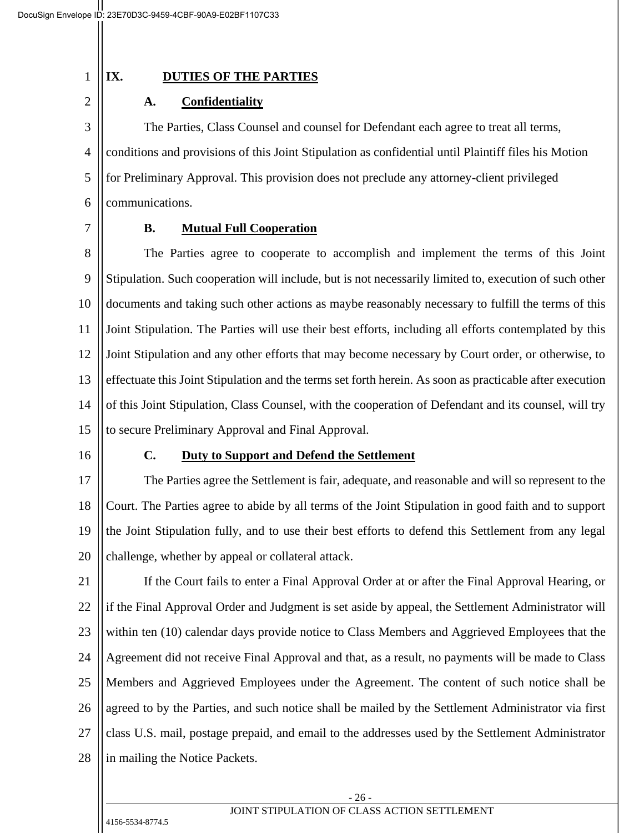#### 1

2

# **IX. DUTIES OF THE PARTIES**

# **A. Confidentiality**

3 4 5 6 The Parties, Class Counsel and counsel for Defendant each agree to treat all terms, conditions and provisions of this Joint Stipulation as confidential until Plaintiff files his Motion for Preliminary Approval. This provision does not preclude any attorney-client privileged communications.

7

# **B. Mutual Full Cooperation**

8 9 10 11 12 13 14 15 The Parties agree to cooperate to accomplish and implement the terms of this Joint Stipulation. Such cooperation will include, but is not necessarily limited to, execution of such other documents and taking such other actions as maybe reasonably necessary to fulfill the terms of this Joint Stipulation. The Parties will use their best efforts, including all efforts contemplated by this Joint Stipulation and any other efforts that may become necessary by Court order, or otherwise, to effectuate this Joint Stipulation and the terms set forth herein. As soon as practicable after execution of this Joint Stipulation, Class Counsel, with the cooperation of Defendant and its counsel, will try to secure Preliminary Approval and Final Approval.

16

## **C. Duty to Support and Defend the Settlement**

17 18 19 20 The Parties agree the Settlement is fair, adequate, and reasonable and will so represent to the Court. The Parties agree to abide by all terms of the Joint Stipulation in good faith and to support the Joint Stipulation fully, and to use their best efforts to defend this Settlement from any legal challenge, whether by appeal or collateral attack.

21 22 23 24 25 26 27 28 If the Court fails to enter a Final Approval Order at or after the Final Approval Hearing, or if the Final Approval Order and Judgment is set aside by appeal, the Settlement Administrator will within ten (10) calendar days provide notice to Class Members and Aggrieved Employees that the Agreement did not receive Final Approval and that, as a result, no payments will be made to Class Members and Aggrieved Employees under the Agreement. The content of such notice shall be agreed to by the Parties, and such notice shall be mailed by the Settlement Administrator via first class U.S. mail, postage prepaid, and email to the addresses used by the Settlement Administrator in mailing the Notice Packets.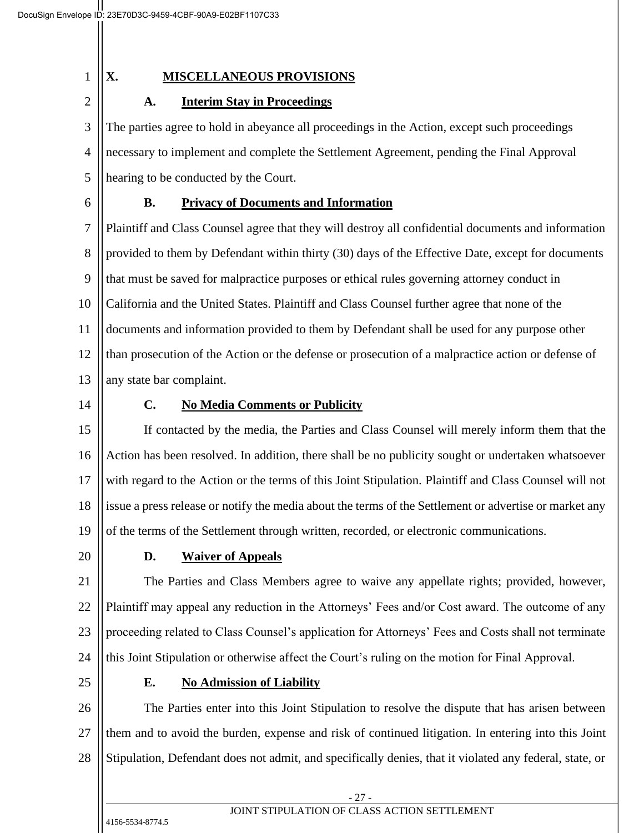1

2

# **X. MISCELLANEOUS PROVISIONS**

# **A. Interim Stay in Proceedings**

3 4 5 The parties agree to hold in abeyance all proceedings in the Action, except such proceedings necessary to implement and complete the Settlement Agreement, pending the Final Approval hearing to be conducted by the Court.

6

# **B. Privacy of Documents and Information**

7 8 9 10 11 12 13 Plaintiff and Class Counsel agree that they will destroy all confidential documents and information provided to them by Defendant within thirty (30) days of the Effective Date, except for documents that must be saved for malpractice purposes or ethical rules governing attorney conduct in California and the United States. Plaintiff and Class Counsel further agree that none of the documents and information provided to them by Defendant shall be used for any purpose other than prosecution of the Action or the defense or prosecution of a malpractice action or defense of any state bar complaint.

14

# **C. No Media Comments or Publicity**

15 16 17 18 19 If contacted by the media, the Parties and Class Counsel will merely inform them that the Action has been resolved. In addition, there shall be no publicity sought or undertaken whatsoever with regard to the Action or the terms of this Joint Stipulation. Plaintiff and Class Counsel will not issue a press release or notify the media about the terms of the Settlement or advertise or market any of the terms of the Settlement through written, recorded, or electronic communications.

20

# **D. Waiver of Appeals**

21 22 23 24 The Parties and Class Members agree to waive any appellate rights; provided, however, Plaintiff may appeal any reduction in the Attorneys' Fees and/or Cost award. The outcome of any proceeding related to Class Counsel's application for Attorneys' Fees and Costs shall not terminate this Joint Stipulation or otherwise affect the Court's ruling on the motion for Final Approval.

25

# **E. No Admission of Liability**

26 27 28 The Parties enter into this Joint Stipulation to resolve the dispute that has arisen between them and to avoid the burden, expense and risk of continued litigation. In entering into this Joint Stipulation, Defendant does not admit, and specifically denies, that it violated any federal, state, or

- 27 -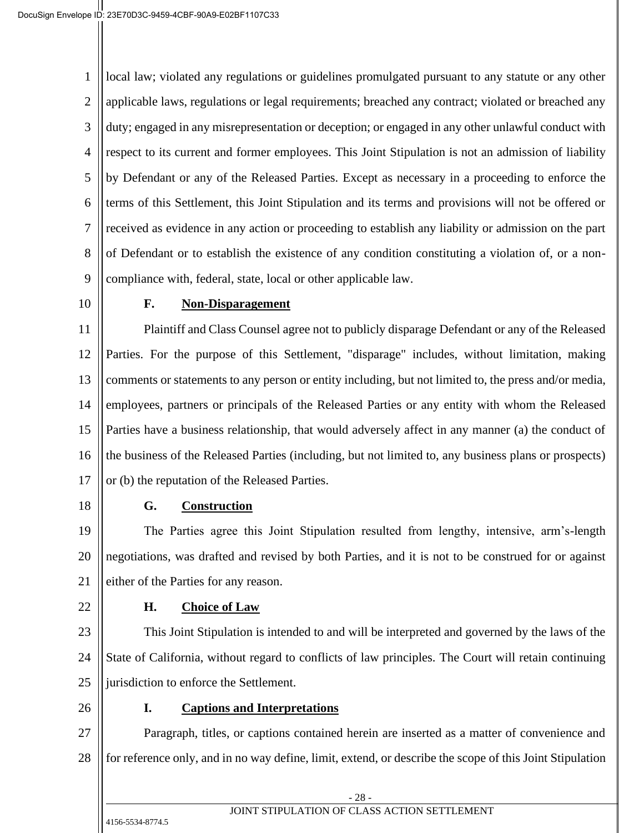1 2 3 4 5 6 7 8 9 local law; violated any regulations or guidelines promulgated pursuant to any statute or any other applicable laws, regulations or legal requirements; breached any contract; violated or breached any duty; engaged in any misrepresentation or deception; or engaged in any other unlawful conduct with respect to its current and former employees. This Joint Stipulation is not an admission of liability by Defendant or any of the Released Parties. Except as necessary in a proceeding to enforce the terms of this Settlement, this Joint Stipulation and its terms and provisions will not be offered or received as evidence in any action or proceeding to establish any liability or admission on the part of Defendant or to establish the existence of any condition constituting a violation of, or a noncompliance with, federal, state, local or other applicable law.

10

#### **F. Non-Disparagement**

11 12 13 14 15 16 17 Plaintiff and Class Counsel agree not to publicly disparage Defendant or any of the Released Parties. For the purpose of this Settlement, "disparage" includes, without limitation, making comments or statements to any person or entity including, but not limited to, the press and/or media, employees, partners or principals of the Released Parties or any entity with whom the Released Parties have a business relationship, that would adversely affect in any manner (a) the conduct of the business of the Released Parties (including, but not limited to, any business plans or prospects) or (b) the reputation of the Released Parties.

18

#### **G. Construction**

19 20 21 The Parties agree this Joint Stipulation resulted from lengthy, intensive, arm's-length negotiations, was drafted and revised by both Parties, and it is not to be construed for or against either of the Parties for any reason.

22

## **H. Choice of Law**

23 24 25 This Joint Stipulation is intended to and will be interpreted and governed by the laws of the State of California, without regard to conflicts of law principles. The Court will retain continuing jurisdiction to enforce the Settlement.

26

## **I. Captions and Interpretations**

27 28 Paragraph, titles, or captions contained herein are inserted as a matter of convenience and for reference only, and in no way define, limit, extend, or describe the scope of this Joint Stipulation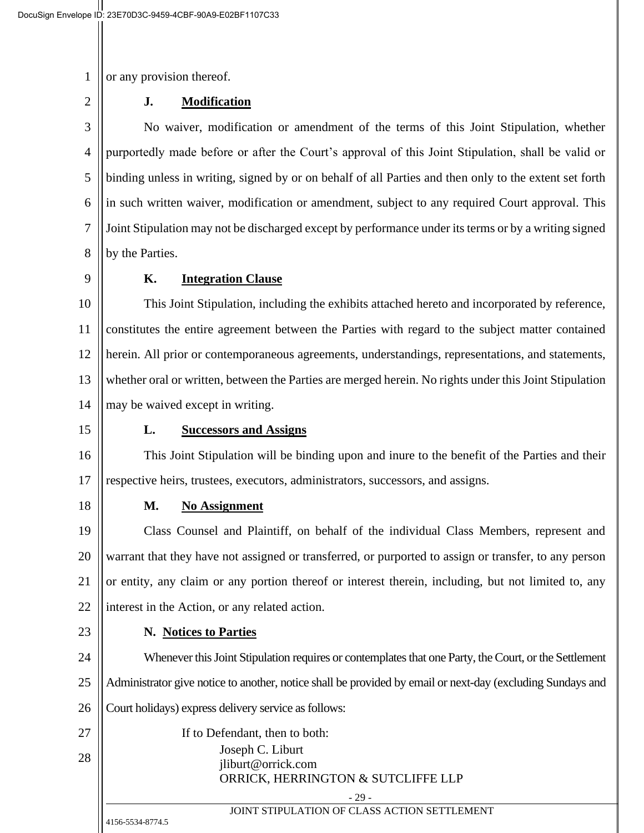1 or any provision thereof.

#### **J. Modification**

3 4 5 6 7 8 No waiver, modification or amendment of the terms of this Joint Stipulation, whether purportedly made before or after the Court's approval of this Joint Stipulation, shall be valid or binding unless in writing, signed by or on behalf of all Parties and then only to the extent set forth in such written waiver, modification or amendment, subject to any required Court approval. This Joint Stipulation may not be discharged except by performance under its terms or by a writing signed by the Parties.

9

2

#### **K. Integration Clause**

10 11 12 13 14 This Joint Stipulation, including the exhibits attached hereto and incorporated by reference, constitutes the entire agreement between the Parties with regard to the subject matter contained herein. All prior or contemporaneous agreements, understandings, representations, and statements, whether oral or written, between the Parties are merged herein. No rights under this Joint Stipulation may be waived except in writing.

15

#### **L. Successors and Assigns**

16 17 This Joint Stipulation will be binding upon and inure to the benefit of the Parties and their respective heirs, trustees, executors, administrators, successors, and assigns.

18

## **M. No Assignment**

19 20 21 22 Class Counsel and Plaintiff, on behalf of the individual Class Members, represent and warrant that they have not assigned or transferred, or purported to assign or transfer, to any person or entity, any claim or any portion thereof or interest therein, including, but not limited to, any interest in the Action, or any related action.

23

## **N. Notices to Parties**

24 25 26 27 28 Whenever this Joint Stipulation requires or contemplates that one Party, the Court, or the Settlement Administrator give notice to another, notice shall be provided by email or next-day (excluding Sundays and Court holidays) express delivery service as follows: If to Defendant, then to both: Joseph C. Liburt

#### jliburt@orrick.com ORRICK, HERRINGTON & SUTCLIFFE LLP

- 29 - JOINT STIPULATION OF CLASS ACTION SETTLEMENT

4156-5534-8774.5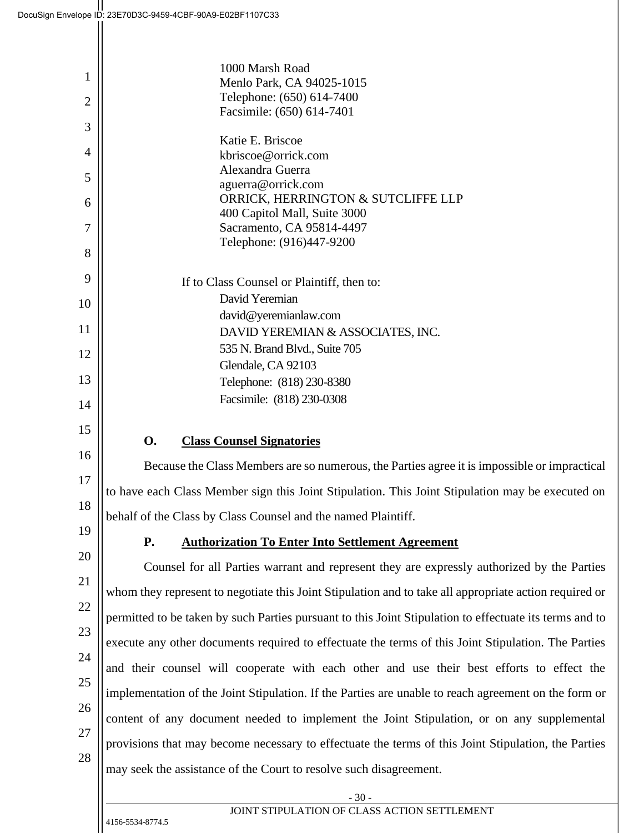| $\mathbf{1}$   | 1000 Marsh Road                                                                                         |  |
|----------------|---------------------------------------------------------------------------------------------------------|--|
|                | Menlo Park, CA 94025-1015<br>Telephone: (650) 614-7400                                                  |  |
| $\overline{c}$ | Facsimile: (650) 614-7401                                                                               |  |
| 3              |                                                                                                         |  |
| 4              | Katie E. Briscoe<br>kbriscoe@orrick.com                                                                 |  |
| 5              | Alexandra Guerra                                                                                        |  |
|                | aguerra@orrick.com                                                                                      |  |
| 6              | ORRICK, HERRINGTON & SUTCLIFFE LLP<br>400 Capitol Mall, Suite 3000                                      |  |
| 7              | Sacramento, CA 95814-4497                                                                               |  |
| 8              | Telephone: (916)447-9200                                                                                |  |
| 9              |                                                                                                         |  |
|                | If to Class Counsel or Plaintiff, then to:<br>David Yeremian                                            |  |
| 10             | david@yeremianlaw.com                                                                                   |  |
| 11             | DAVID YEREMIAN & ASSOCIATES, INC.                                                                       |  |
| 12             | 535 N. Brand Blvd., Suite 705                                                                           |  |
|                | Glendale, CA 92103                                                                                      |  |
| 13             | Telephone: (818) 230-8380                                                                               |  |
| 14             | Facsimile: (818) 230-0308                                                                               |  |
| 15             |                                                                                                         |  |
| 16             | <b>Class Counsel Signatories</b><br><b>O.</b>                                                           |  |
|                | Because the Class Members are so numerous, the Parties agree it is impossible or impractical            |  |
| 17             | to have each Class Member sign this Joint Stipulation. This Joint Stipulation may be executed on        |  |
| 18             | behalf of the Class by Class Counsel and the named Plaintiff.                                           |  |
| 19             | <b>Authorization To Enter Into Settlement Agreement</b><br><b>P.</b>                                    |  |
| 20             | Counsel for all Parties warrant and represent they are expressly authorized by the Parties              |  |
| 21             | whom they represent to negotiate this Joint Stipulation and to take all appropriate action required or  |  |
| 22             | permitted to be taken by such Parties pursuant to this Joint Stipulation to effectuate its terms and to |  |
| 23             | execute any other documents required to effectuate the terms of this Joint Stipulation. The Parties     |  |
| 24             | and their counsel will cooperate with each other and use their best efforts to effect the               |  |
| 25             | implementation of the Joint Stipulation. If the Parties are unable to reach agreement on the form or    |  |
| 26             | content of any document needed to implement the Joint Stipulation, or on any supplemental               |  |
| 27             | provisions that may become necessary to effectuate the terms of this Joint Stipulation, the Parties     |  |
| 28             |                                                                                                         |  |
|                | may seek the assistance of the Court to resolve such disagreement.                                      |  |
|                | $-30-$<br>JOINT STIPULATION OF CLASS ACTION SETTLEMENT                                                  |  |
|                | 4156-5534-8774.5                                                                                        |  |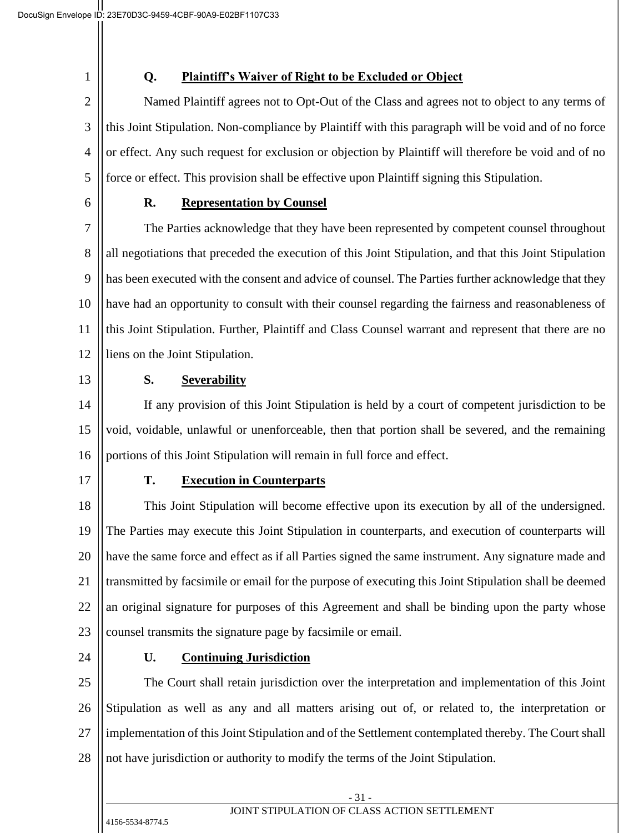1

# **Q. Plaintiff's Waiver of Right to be Excluded or Object**

2 3 4 5 Named Plaintiff agrees not to Opt-Out of the Class and agrees not to object to any terms of this Joint Stipulation. Non-compliance by Plaintiff with this paragraph will be void and of no force or effect. Any such request for exclusion or objection by Plaintiff will therefore be void and of no force or effect. This provision shall be effective upon Plaintiff signing this Stipulation.

6

### **R. Representation by Counsel**

7 8 9 10 11 12 The Parties acknowledge that they have been represented by competent counsel throughout all negotiations that preceded the execution of this Joint Stipulation, and that this Joint Stipulation has been executed with the consent and advice of counsel. The Parties further acknowledge that they have had an opportunity to consult with their counsel regarding the fairness and reasonableness of this Joint Stipulation. Further, Plaintiff and Class Counsel warrant and represent that there are no liens on the Joint Stipulation.

13

## **S. Severability**

14 15 16 If any provision of this Joint Stipulation is held by a court of competent jurisdiction to be void, voidable, unlawful or unenforceable, then that portion shall be severed, and the remaining portions of this Joint Stipulation will remain in full force and effect.

17

## **T. Execution in Counterparts**

18 19 20 21 22 23 This Joint Stipulation will become effective upon its execution by all of the undersigned. The Parties may execute this Joint Stipulation in counterparts, and execution of counterparts will have the same force and effect as if all Parties signed the same instrument. Any signature made and transmitted by facsimile or email for the purpose of executing this Joint Stipulation shall be deemed an original signature for purposes of this Agreement and shall be binding upon the party whose counsel transmits the signature page by facsimile or email.

24

## **U. Continuing Jurisdiction**

25 26 27 28 The Court shall retain jurisdiction over the interpretation and implementation of this Joint Stipulation as well as any and all matters arising out of, or related to, the interpretation or implementation of this Joint Stipulation and of the Settlement contemplated thereby. The Court shall not have jurisdiction or authority to modify the terms of the Joint Stipulation.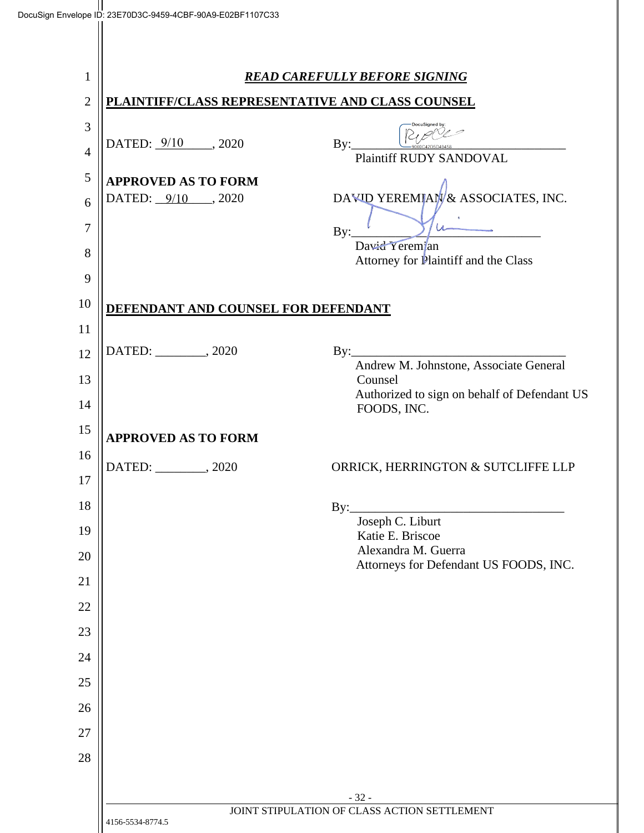